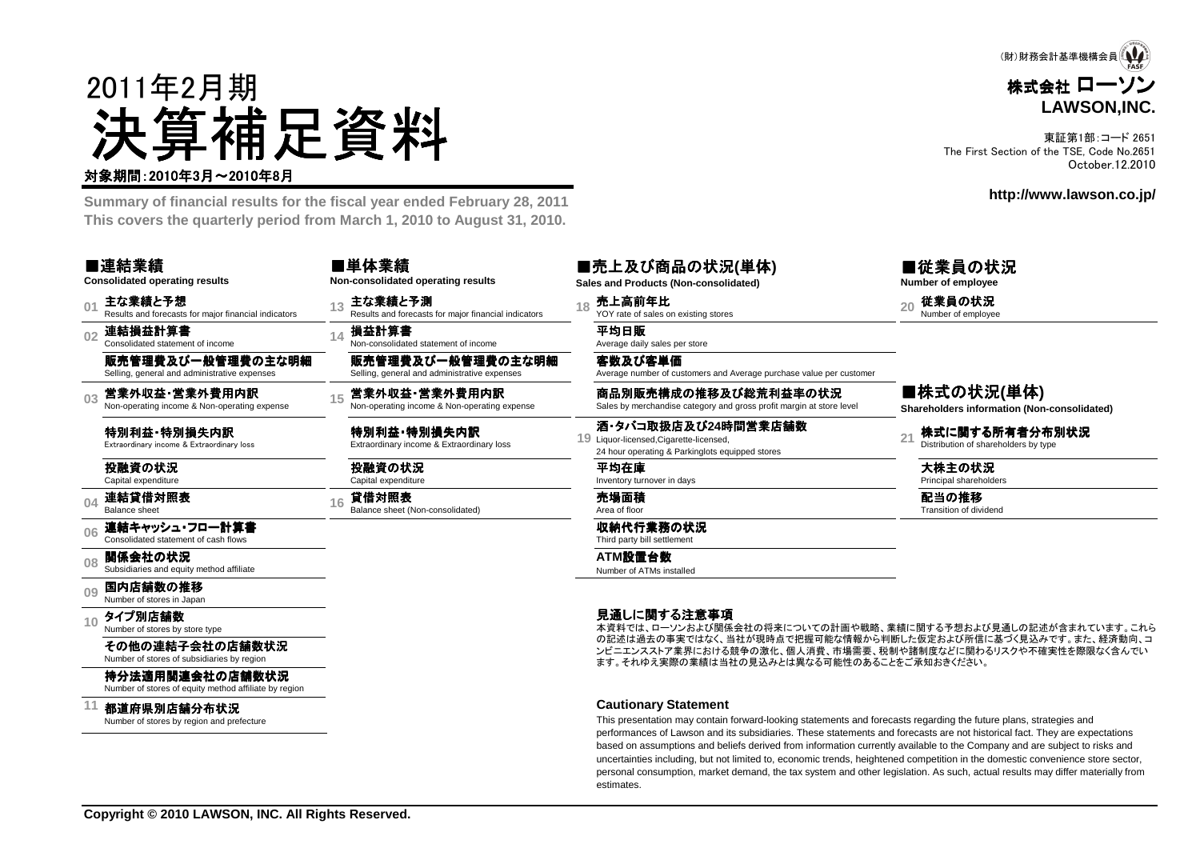

東証第1部:コード 2651 The First Section of the TSE, Code No.2651October.12.2010

**http://www.lawson.co.jp/**

株式会社 ローソン

(財)財務会計基準機構会員 (△

**LAWSON,INC.**



**Cautionary Statement**

 This presentation may contain forward-looking statements and forecasts regarding the future plans, strategies and performances of Lawson and its subsidiaries. These statements and forecasts are not historical fact. They are expectations based on assumptions and beliefs derived from information currently available to the Company and are subject to risks and uncertainties including, but not limited to, economic trends, heightened competition in the domestic convenience store sector, personal consumption, market demand, the tax system and other legislation. As such, actual results may differ materially fromestimates.

Number of stores of equity method affiliate by region

都道府県別店舗分布状況Number of stores by region and prefecture

**11**

2011年2月期

対象期間:2010年3月~2010年8月

**Summary of financial results for the fiscal year ended February 28, 2011**

決算補足資料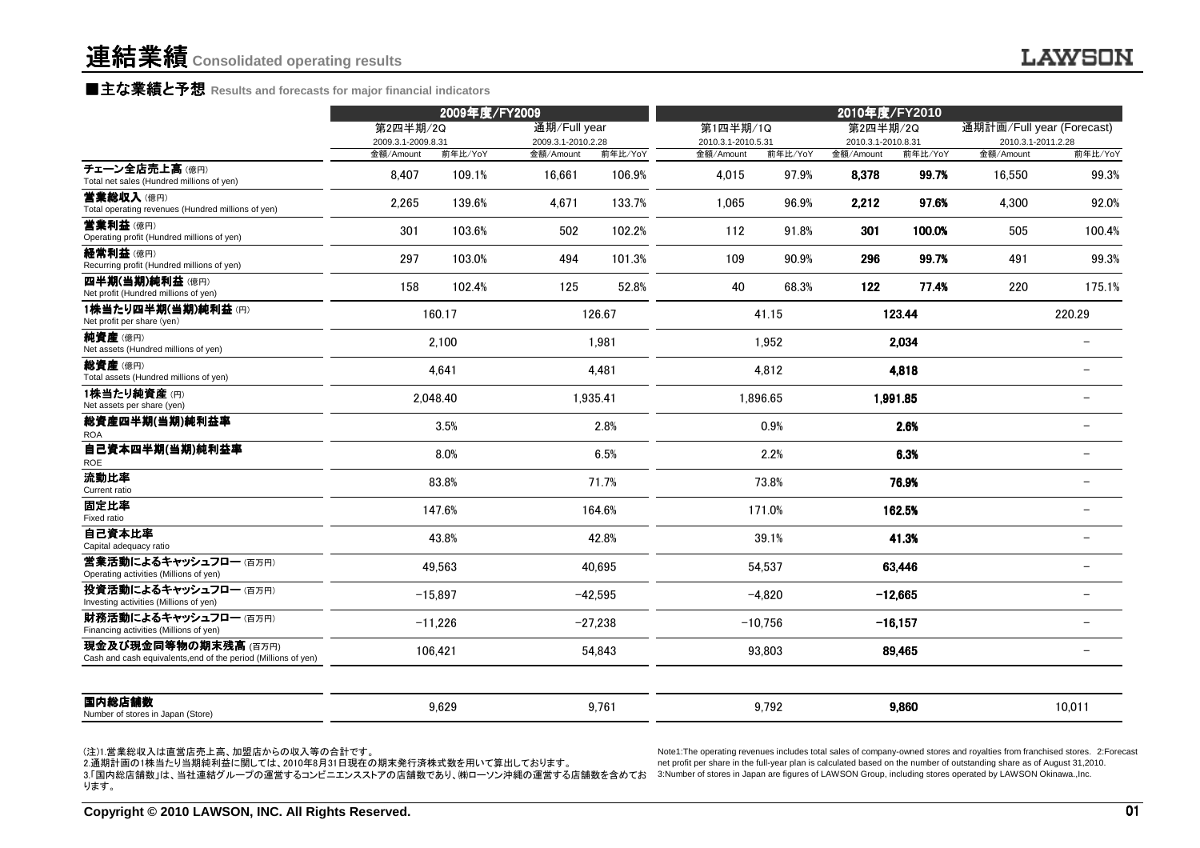### ■主な業績と予想 Results and forecasts for major financial indicators<br>←←←←←

|                                                                                        | 2009年度/FY2009                  |           |                                    |           | 2010年度/FY2010                  |           |                                |           |                                                 |                          |
|----------------------------------------------------------------------------------------|--------------------------------|-----------|------------------------------------|-----------|--------------------------------|-----------|--------------------------------|-----------|-------------------------------------------------|--------------------------|
|                                                                                        | 第2四半期/2Q<br>2009.3.1-2009.8.31 |           | 通期/Full year<br>2009.3.1-2010.2.28 |           | 第1四半期/1Q<br>2010.3.1-2010.5.31 |           | 第2四半期/2Q<br>2010.3.1-2010.8.31 |           | 通期計画/Full year (Forecast)<br>2010.3.1-2011.2.28 |                          |
|                                                                                        | 金額/Amount                      | 前年比/YoY   | 金額/Amount                          | 前年比/YoY   | 金額/Amount                      | 前年比/YoY   | 金額/Amount                      | 前年比/YoY   | 金額/Amount                                       | 前年比/YoY                  |
| チェーン全店売上高(億円)<br>Total net sales (Hundred millions of yen)                             | 8,407                          | 109.1%    | 16,661                             | 106.9%    | 4,015                          | 97.9%     | 8,378                          | 99.7%     | 16,550                                          | 99.3%                    |
| 営業総収入(億円)<br>Total operating revenues (Hundred millions of yen)                        | 2,265                          | 139.6%    | 4.671                              | 133.7%    | 1.065                          | 96.9%     | 2,212                          | 97.6%     | 4,300                                           | 92.0%                    |
| 营業利益(億円)<br>Operating profit (Hundred millions of yen)                                 | 301                            | 103.6%    | 502                                | 102.2%    | 112                            | 91.8%     | 301                            | 100.0%    | 505                                             | 100.4%                   |
| 経常利益(億円)<br>Recurring profit (Hundred millions of yen)                                 | 297                            | 103.0%    | 494                                | 101.3%    | 109                            | 90.9%     | 296                            | 99.7%     | 491                                             | 99.3%                    |
| 四半期(当期)純利益(億円)<br>Net profit (Hundred millions of yen)                                 | 158                            | 102.4%    | 125                                | 52.8%     | 40                             | 68.3%     | 122                            | 77.4%     | 220                                             | 175.1%                   |
| 1株当たり四半期(当期)純利益(円)<br>Net profit per share (yen)                                       |                                | 160.17    |                                    | 126.67    |                                | 41.15     |                                | 123.44    |                                                 | 220.29                   |
| 純資産(億円)<br>Net assets (Hundred millions of yen)                                        |                                | 2.100     |                                    | 1.981     |                                | 1.952     |                                | 2,034     |                                                 |                          |
| 総資産(億円)<br>Total assets (Hundred millions of yen)                                      |                                | 4.641     |                                    | 4,481     |                                | 4,812     |                                | 4,818     |                                                 |                          |
| 1株当たり純資産(円)<br>Net assets per share (yen)                                              |                                | 2.048.40  |                                    | 1.935.41  |                                | 1.896.65  |                                | 1.991.85  |                                                 |                          |
| 総資産四半期(当期)純利益率<br><b>ROA</b>                                                           |                                | 3.5%      |                                    | 2.8%      |                                | $0.9\%$   |                                | 2.6%      |                                                 |                          |
| 自己資本四半期(当期)純利益率<br>ROE                                                                 |                                | 8.0%      |                                    | 6.5%      |                                | 2.2%      |                                | 6.3%      |                                                 |                          |
| 流動比率<br>Current ratio                                                                  |                                | 83.8%     |                                    | 71.7%     |                                | 73.8%     |                                | 76.9%     |                                                 |                          |
| 固定比率<br>Fixed ratio                                                                    |                                | 147.6%    |                                    | 164.6%    |                                | 171.0%    |                                | 162.5%    |                                                 |                          |
| 自己資本比率<br>Capital adequacy ratio                                                       |                                | 43.8%     |                                    | 42.8%     |                                | 39.1%     |                                | 41.3%     |                                                 |                          |
| 営業活動によるキャッシュフロー(百万円)<br>Operating activities (Millions of yen)                         |                                | 49.563    |                                    | 40.695    |                                | 54,537    |                                | 63,446    |                                                 | $\overline{\phantom{0}}$ |
| 投資活動によるキャッシュフロー(百万円)<br>Investing activities (Millions of yen)                         |                                | $-15.897$ |                                    | $-42.595$ |                                | $-4.820$  |                                | $-12,665$ |                                                 |                          |
| 財務活動によるキャッシュフロー(百万円)<br>Financing activities (Millions of yen)                         |                                | $-11,226$ |                                    | $-27,238$ |                                | $-10,756$ |                                | $-16,157$ |                                                 |                          |
| 現金及び現金同等物の期末残高 (百万円)<br>Cash and cash equivalents, end of the period (Millions of yen) |                                | 106,421   |                                    | 54,843    |                                | 93,803    |                                | 89,465    |                                                 |                          |
| 国内総店舗数<br>Number of stores in Japan (Store)                                            |                                | 9,629     |                                    | 9,761     |                                | 9,792     |                                | 9,860     |                                                 | 10,011                   |

(注)1.営業総収入は直営店売上高、加盟店からの収入等の合計です。

2.通期計画の1株当たり当期純利益に関しては、2010年8月31日現在の期末発行済株式数を用いて算出しております。 net profit per share in the full-year plan is calculated based on the number of outstanding share as of August 31,20<br>3.「国内総店舗数」は、当社連結グループの運営するコンビニエンスストアの店舗 ります。

Note1:The operating revenues includes total sales of company-owned stores and royalties from franchised stores. 2:Forecast<br>net profit per share in the full-year plan is calculated based on the number of outstanding share a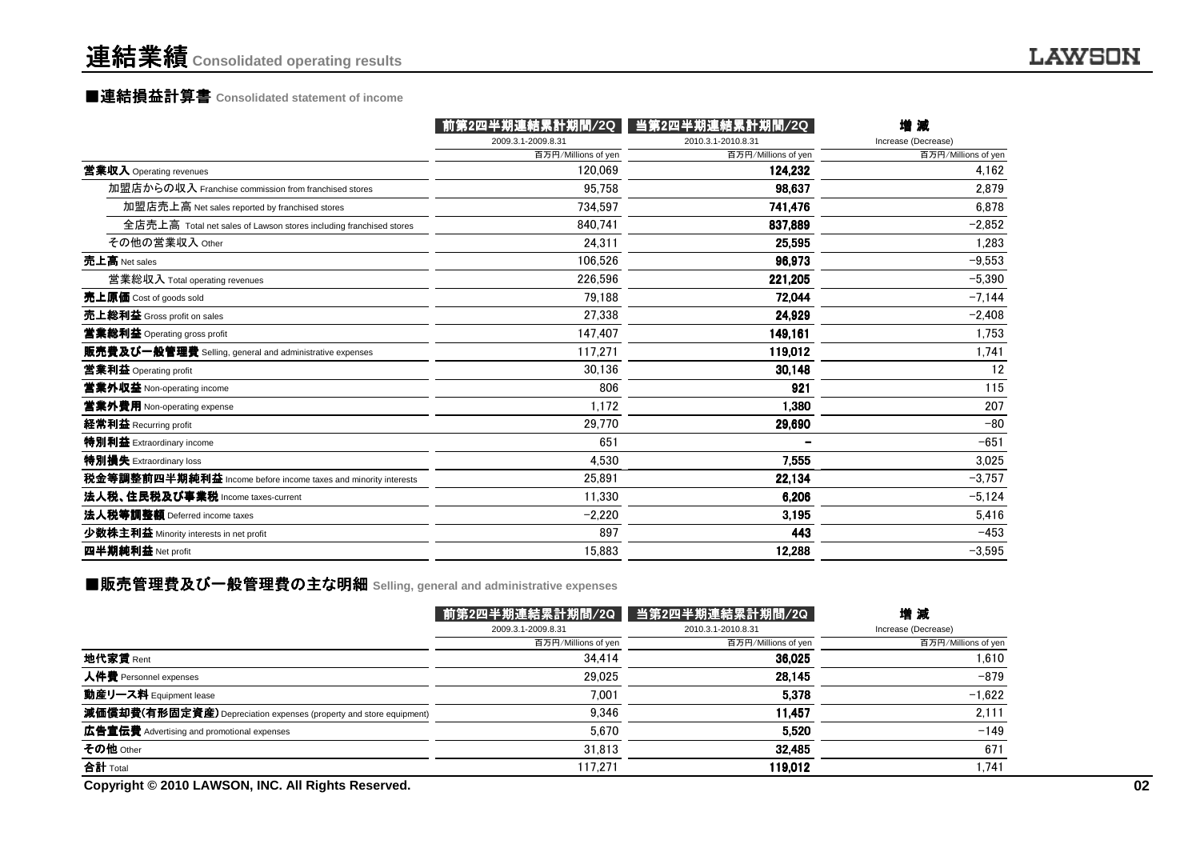### 連結業績**Consolidated operating results**

# ■連結損益計算書 ■連結損益計算書**Consolidated statement of income**

|                                                                    | 第2四半期連結累計期間/2Q      | 当第2四半期連結累計期間/2Q     | 增減                  |
|--------------------------------------------------------------------|---------------------|---------------------|---------------------|
|                                                                    | 2009.3.1-2009.8.31  | 2010.3.1-2010.8.31  | Increase (Decrease) |
|                                                                    | 百万円/Millions of yen | 百万円/Millions of yen | 百万円/Millions of yen |
| 営業収入 Operating revenues                                            | 120.069             | 124.232             | 4.162               |
| 加盟店からの収入 Franchise commission from franchised stores               | 95.758              | 98,637              | 2.879               |
| 加盟店売上高 Net sales reported by franchised stores                     | 734.597             | 741,476             | 6.878               |
| 全店売上高 Total net sales of Lawson stores including franchised stores | 840.741             | 837,889             | $-2,852$            |
| その他の営業収入 Other                                                     | 24.311              | 25,595              | 1,283               |
| 売上高 Net sales                                                      | 106.526             | 96,973              | $-9,553$            |
| 営業総収入 Total operating revenues                                     | 226.596             | 221,205             | $-5.390$            |
| 克上原価 Cost of goods sold                                            | 79.188              | 72,044              | $-7,144$            |
| 売上総利益 Gross profit on sales                                        | 27.338              | 24.929              | $-2,408$            |
| 営業総利益 Operating gross profit                                       | 147.407             | 149,161             | 1,753               |
| 販売費及び一般管理費 Selling, general and administrative expenses            | 117.271             | 119,012             | 1,741               |
| 営業利益 Operating profit                                              | 30.136              | 30,148              | 12                  |
| 営業外収益 Non-operating income                                         | 806                 | 921                 | 115                 |
| 営業外費用 Non-operating expense                                        | 1.172               | 1,380               | 207                 |
| 経常利益 Recurring profit                                              | 29.770              | 29,690              | $-80$               |
| 特別利益 Extraordinary income                                          | 651                 |                     | $-651$              |
| 特別損失 Extraordinary loss                                            | 4.530               | 7.555               | 3.025               |
| 税金等調整前四半期純利益 Income before income taxes and minority interests     | 25.891              | 22,134              | $-3,757$            |
| 法人税、住民税及び事業税 Income taxes-current                                  | 11.330              | 6.206               | $-5,124$            |
| 法人税等調整額 Deferred income taxes                                      | $-2,220$            | 3.195               | 5,416               |
| 少数株主利益 Minority interests in net profit                            | 897                 | 443                 | $-453$              |
| 四半期純利益 Net profit                                                  | 15.883              | 12,288              | $-3,595$            |
|                                                                    |                     |                     |                     |

# ■販売管理費及び一般管理費の主な明細 Selling, general and administrative expenses<br>-

|                                                                    |                     | 前第2四半期連結累計期間/2Q   当第2四半期連結累計期間/2Q | 増減                  |
|--------------------------------------------------------------------|---------------------|-----------------------------------|---------------------|
|                                                                    | 2009.3.1-2009.8.31  | 2010.3.1-2010.8.31                | Increase (Decrease) |
|                                                                    | 百万円/Millions of yen | 百万円/Millions of yen               | 百万円/Millions of yen |
| 地代家賃 $Rent$                                                        | 34.414              | 36,025                            | 1.610               |
| 人件費 Personnel expenses                                             | 29.025              | 28,145                            | $-879$              |
| 動産リース料 Equipment lease                                             | 7.001               | 5.378                             | $-1.622$            |
| 減価償却費(有形固定資産) Depreciation expenses (property and store equipment) | 9.346               | 11.457                            | 2.111               |
| 広告宣伝費 Advertising and promotional expenses                         | 5.670               | 5.520                             | $-149$              |
| その他 Other                                                          | 31.813              | 32,485                            | 671                 |
| 合計 Total                                                           | 117.271             | 119.012                           | 1.741               |
| Copyright © 2010 LAWSON, INC. All Rights Reserved.                 |                     |                                   |                     |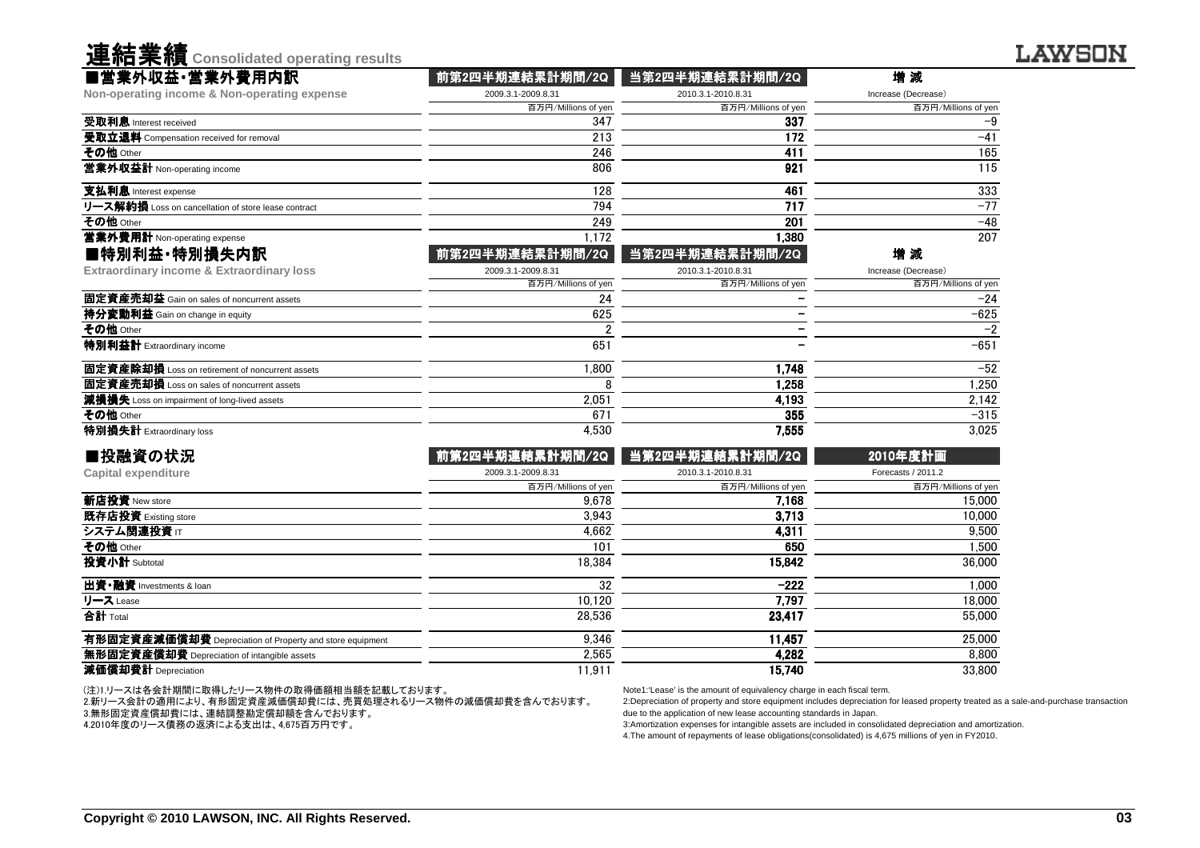| ■営業外収益·営業外費用内訳<br>Non-operating income & Non-operating expense<br>受取利息 Interest received<br>受取立退料 Compensation received for removal<br>その他 Other<br>営業外収益計 Non-operating income<br>支払利息 Interest expense<br>リース解約損 Loss on cancellation of store lease contract<br>その他 Other<br>営業外費用計 Non-operating expense<br>■特別利益·特別損失内訳<br><b>Extraordinary income &amp; Extraordinary loss</b><br>固定資産売却益 Gain on sales of noncurrent assets<br>持分変動利益 Gain on change in equity<br>その他 Other<br>特別利益計 Extraordinary income | 2009.3.1-2009.8.31<br>百万円/Millions of yen<br>347<br>213<br>246<br>806<br>128<br>794<br>249<br>1,172<br>前第2四半期連結累計期間/2Q<br>2009.3.1-2009.8.31<br>百万円/Millions of yen<br>24<br>625 | 2010.3.1-2010.8.31<br>百万円/Millions of yen<br>337<br>172<br>411<br>921<br>461<br>717<br>201<br>1,380<br>当第2四半期連結累計期間/2Q<br>2010.3.1-2010.8.31<br>百万円/Millions of yen | Increase (Decrease)<br>百万円/Millions of yer<br>$-9$<br>$-41$<br>165<br>115<br>333<br>$-77$<br>$-48$<br>207<br>増 減<br>Increase (Decrease) |
|------------------------------------------------------------------------------------------------------------------------------------------------------------------------------------------------------------------------------------------------------------------------------------------------------------------------------------------------------------------------------------------------------------------------------------------------------------------------------------------------------------------|----------------------------------------------------------------------------------------------------------------------------------------------------------------------------------|---------------------------------------------------------------------------------------------------------------------------------------------------------------------|-----------------------------------------------------------------------------------------------------------------------------------------|
|                                                                                                                                                                                                                                                                                                                                                                                                                                                                                                                  |                                                                                                                                                                                  |                                                                                                                                                                     |                                                                                                                                         |
|                                                                                                                                                                                                                                                                                                                                                                                                                                                                                                                  |                                                                                                                                                                                  |                                                                                                                                                                     |                                                                                                                                         |
|                                                                                                                                                                                                                                                                                                                                                                                                                                                                                                                  |                                                                                                                                                                                  |                                                                                                                                                                     |                                                                                                                                         |
|                                                                                                                                                                                                                                                                                                                                                                                                                                                                                                                  |                                                                                                                                                                                  |                                                                                                                                                                     |                                                                                                                                         |
|                                                                                                                                                                                                                                                                                                                                                                                                                                                                                                                  |                                                                                                                                                                                  |                                                                                                                                                                     |                                                                                                                                         |
|                                                                                                                                                                                                                                                                                                                                                                                                                                                                                                                  |                                                                                                                                                                                  |                                                                                                                                                                     |                                                                                                                                         |
|                                                                                                                                                                                                                                                                                                                                                                                                                                                                                                                  |                                                                                                                                                                                  |                                                                                                                                                                     |                                                                                                                                         |
|                                                                                                                                                                                                                                                                                                                                                                                                                                                                                                                  |                                                                                                                                                                                  |                                                                                                                                                                     |                                                                                                                                         |
|                                                                                                                                                                                                                                                                                                                                                                                                                                                                                                                  |                                                                                                                                                                                  |                                                                                                                                                                     |                                                                                                                                         |
|                                                                                                                                                                                                                                                                                                                                                                                                                                                                                                                  |                                                                                                                                                                                  |                                                                                                                                                                     |                                                                                                                                         |
|                                                                                                                                                                                                                                                                                                                                                                                                                                                                                                                  |                                                                                                                                                                                  |                                                                                                                                                                     |                                                                                                                                         |
|                                                                                                                                                                                                                                                                                                                                                                                                                                                                                                                  |                                                                                                                                                                                  |                                                                                                                                                                     | 百万円/Millions of yer                                                                                                                     |
|                                                                                                                                                                                                                                                                                                                                                                                                                                                                                                                  |                                                                                                                                                                                  |                                                                                                                                                                     | $-24$                                                                                                                                   |
|                                                                                                                                                                                                                                                                                                                                                                                                                                                                                                                  |                                                                                                                                                                                  |                                                                                                                                                                     | $-625$                                                                                                                                  |
|                                                                                                                                                                                                                                                                                                                                                                                                                                                                                                                  | 2                                                                                                                                                                                |                                                                                                                                                                     | $-2$                                                                                                                                    |
|                                                                                                                                                                                                                                                                                                                                                                                                                                                                                                                  | 651                                                                                                                                                                              |                                                                                                                                                                     | $-651$                                                                                                                                  |
| <b>固定資産除却損</b> Loss on retirement of noncurrent assets                                                                                                                                                                                                                                                                                                                                                                                                                                                           | 1.800                                                                                                                                                                            | 1.748                                                                                                                                                               | $-52$                                                                                                                                   |
| 固定資産売却損 Loss on sales of noncurrent assets                                                                                                                                                                                                                                                                                                                                                                                                                                                                       | 8                                                                                                                                                                                | 1,258                                                                                                                                                               | 1,250                                                                                                                                   |
| 減損損失 Loss on impairment of long-lived assets                                                                                                                                                                                                                                                                                                                                                                                                                                                                     | 2,051                                                                                                                                                                            | 4,193                                                                                                                                                               | 2,142                                                                                                                                   |
| その他 Other                                                                                                                                                                                                                                                                                                                                                                                                                                                                                                        | 671                                                                                                                                                                              | 355                                                                                                                                                                 | $-315$                                                                                                                                  |
| 特別損失計 Extraordinary loss                                                                                                                                                                                                                                                                                                                                                                                                                                                                                         | 4,530                                                                                                                                                                            | 7,555                                                                                                                                                               | 3,025                                                                                                                                   |
| ■投融資の状況                                                                                                                                                                                                                                                                                                                                                                                                                                                                                                          | 前第2四半期連結累計期間/2Q                                                                                                                                                                  | 当第2四半期連結累計期間/2Q                                                                                                                                                     | 2010年度計画                                                                                                                                |
| <b>Capital expenditure</b>                                                                                                                                                                                                                                                                                                                                                                                                                                                                                       | 2009.3.1-2009.8.31                                                                                                                                                               | 2010.3.1-2010.8.31                                                                                                                                                  | Forecasts / 2011.2                                                                                                                      |
|                                                                                                                                                                                                                                                                                                                                                                                                                                                                                                                  | 百万円/Millions of yen                                                                                                                                                              | 百万円/Millions of yen                                                                                                                                                 | 百万円/Millions of yer                                                                                                                     |
| 新店投資 New store                                                                                                                                                                                                                                                                                                                                                                                                                                                                                                   | 9.678                                                                                                                                                                            | 7,168                                                                                                                                                               | 15,000                                                                                                                                  |
| 既存店投資 Existing store                                                                                                                                                                                                                                                                                                                                                                                                                                                                                             | 3.943                                                                                                                                                                            | 3.713                                                                                                                                                               | 10,000                                                                                                                                  |
| システム関連投資 Ⅱ                                                                                                                                                                                                                                                                                                                                                                                                                                                                                                       | 4.662                                                                                                                                                                            | 4,311                                                                                                                                                               | 9,500                                                                                                                                   |
| その他 Other                                                                                                                                                                                                                                                                                                                                                                                                                                                                                                        | 101                                                                                                                                                                              | 650                                                                                                                                                                 | 1.500                                                                                                                                   |
| 投資小計 Subtotal                                                                                                                                                                                                                                                                                                                                                                                                                                                                                                    | 18,384                                                                                                                                                                           | 15,842                                                                                                                                                              | 36,000                                                                                                                                  |
| 出資·融資 Investments & loan                                                                                                                                                                                                                                                                                                                                                                                                                                                                                         | 32                                                                                                                                                                               | $-222$                                                                                                                                                              | 1.000                                                                                                                                   |
| リース Lease                                                                                                                                                                                                                                                                                                                                                                                                                                                                                                        | 10,120                                                                                                                                                                           | 7,797                                                                                                                                                               | 18,000                                                                                                                                  |
| 合計 Total                                                                                                                                                                                                                                                                                                                                                                                                                                                                                                         | 28.536                                                                                                                                                                           | 23.417                                                                                                                                                              | 55,000                                                                                                                                  |
| 有形固定資産減価償却費 Depreciation of Property and store equipment                                                                                                                                                                                                                                                                                                                                                                                                                                                         | 9,346                                                                                                                                                                            | 11,457                                                                                                                                                              | 25,000                                                                                                                                  |
| 無形固定資産償却費 Depreciation of intangible assets                                                                                                                                                                                                                                                                                                                                                                                                                                                                      | 2,565                                                                                                                                                                            | 4,282                                                                                                                                                               | 8,800                                                                                                                                   |
| 減価償却費計 Depreciation                                                                                                                                                                                                                                                                                                                                                                                                                                                                                              | 11,911                                                                                                                                                                           | 15,740                                                                                                                                                              | 33,800                                                                                                                                  |

(注)1.リースは各会計期間に取得したリース物件の取得価額相当額を記載しております。

2.新リース会計の適用により、有形固定資産減価償却費には、売買処理されるリース物件の減価償却費を含んでおります。

3.無形固定資産償却費には、連結調整勘定償却額を含んでおります。

4.2010年度のリース債務の返済による支出は、4,675百万円です。

連結業績**Consolidated operating results**

Note1:'Lease' is the amount of equivalency charge in each fiscal term.

 2:Depreciation of property and store equipment includes depreciation for leased property treated as a sale-and-purchase transactiondue to the application of new lease accounting standards in Japan.

3:Amortization expenses for intangible assets are included in consolidated depreciation and amortization.

4.The amount of repayments of lease obligations(consolidated) is 4,675 millions of yen in FY2010.

**LAWSON**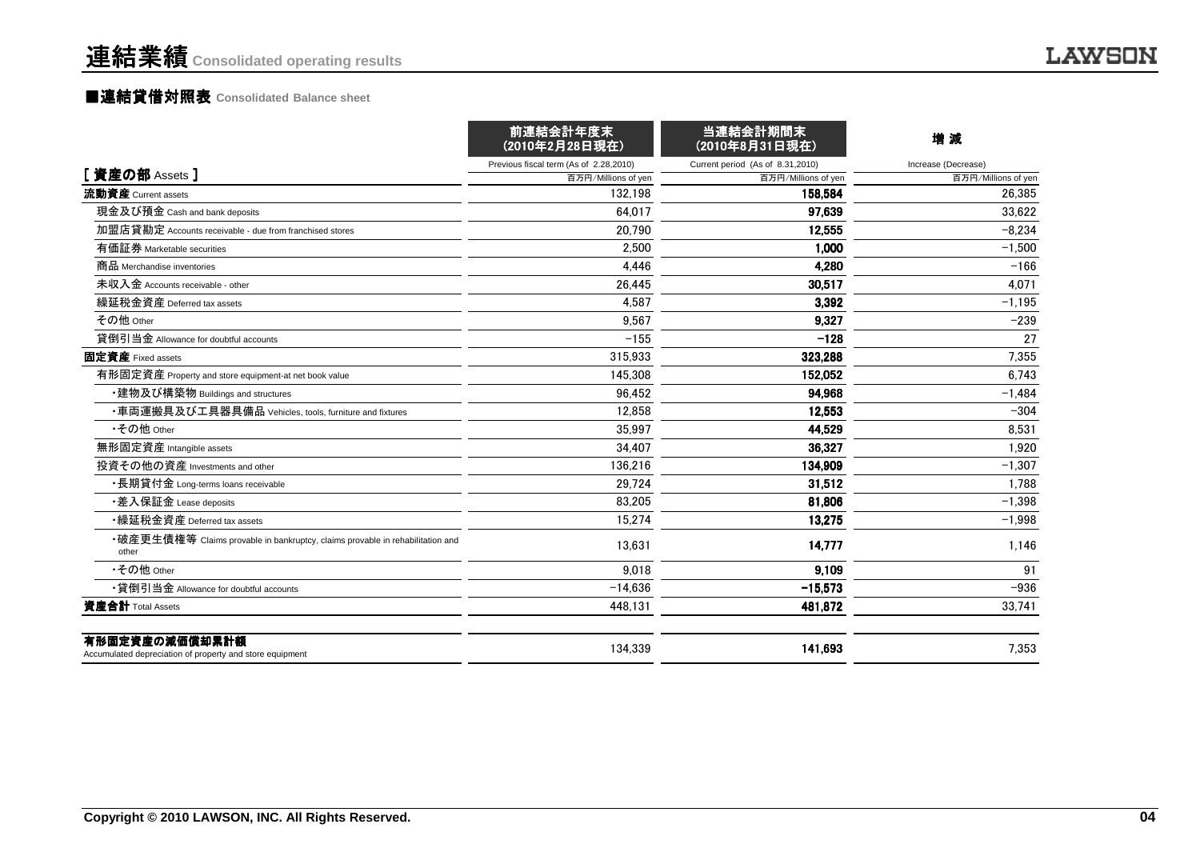#### ■連結貸借対照表 **Consolidated Balance sheet**

|                                                                                        | 前連結会計年度末<br>(2010年2月28日現在)             | 当連結会計期間末<br>(2010年8月31日現在)       | 増減                  |
|----------------------------------------------------------------------------------------|----------------------------------------|----------------------------------|---------------------|
|                                                                                        | Previous fiscal term (As of 2.28,2010) | Current period (As of 8.31,2010) | Increase (Decrease) |
| [資産の部 Assets]                                                                          | 百万円/Millions of yen                    | 百万円/Millions of yen              | 百万円/Millions of yen |
| 流動資産 Current assets                                                                    | 132.198                                | 158,584                          | 26,385              |
| 現金及び預金 Cash and bank deposits                                                          | 64.017                                 | 97.639                           | 33,622              |
| 加盟店貸勘定 Accounts receivable - due from franchised stores                                | 20.790                                 | 12,555                           | $-8,234$            |
| 有価証券 Marketable securities                                                             | 2.500                                  | 1,000                            | $-1,500$            |
| 商品 Merchandise inventories                                                             | 4.446                                  | 4,280                            | $-166$              |
| 未収入金 Accounts receivable - other                                                       | 26,445                                 | 30,517                           | 4,071               |
| 繰延税金資産 Deferred tax assets                                                             | 4,587                                  | 3,392                            | $-1,195$            |
| その他 Other                                                                              | 9,567                                  | 9.327                            | $-239$              |
| 貸倒引当金 Allowance for doubtful accounts                                                  | $-155$                                 | $-128$                           | 27                  |
| 固定資産 Fixed assets                                                                      | 315,933                                | 323.288                          | 7,355               |
| 有形固定資産 Property and store equipment-at net book value                                  | 145,308                                | 152,052                          | 6,743               |
| ・建物及び構築物 Buildings and structures                                                      | 96.452                                 | 94.968                           | $-1.484$            |
| ・車両運搬具及び工具器具備品 Vehicles, tools, furniture and fixtures                                 | 12.858                                 | 12,553                           | $-304$              |
| •その他 Other                                                                             | 35.997                                 | 44.529                           | 8,531               |
| 無形固定資産 Intangible assets                                                               | 34.407                                 | 36.327                           | 1.920               |
| 投資その他の資産 Investments and other                                                         | 136.216                                | 134.909                          | $-1.307$            |
| ・長期貸付金 Long-terms loans receivable                                                     | 29.724                                 | 31,512                           | 1,788               |
| ・差入保証金 Lease deposits                                                                  | 83.205                                 | 81.806                           | $-1.398$            |
| •繰延税金資産 Deferred tax assets                                                            | 15.274                                 | 13.275                           | $-1,998$            |
| •破産更生債権等 Claims provable in bankruptcy, claims provable in rehabilitation and<br>other | 13,631                                 | 14,777                           | 1,146               |
| •その他 Other                                                                             | 9,018                                  | 9,109                            | 91                  |
| •貸倒引当金 Allowance for doubtful accounts                                                 | $-14,636$                              | $-15,573$                        | $-936$              |
| 資産合計 Total Assets                                                                      | 448,131                                | 481,872                          | 33,741              |
| 有形固定資産の減価償却累計額<br>Accumulated depreciation of property and store equipment             | 134,339                                | 141,693                          | 7,353               |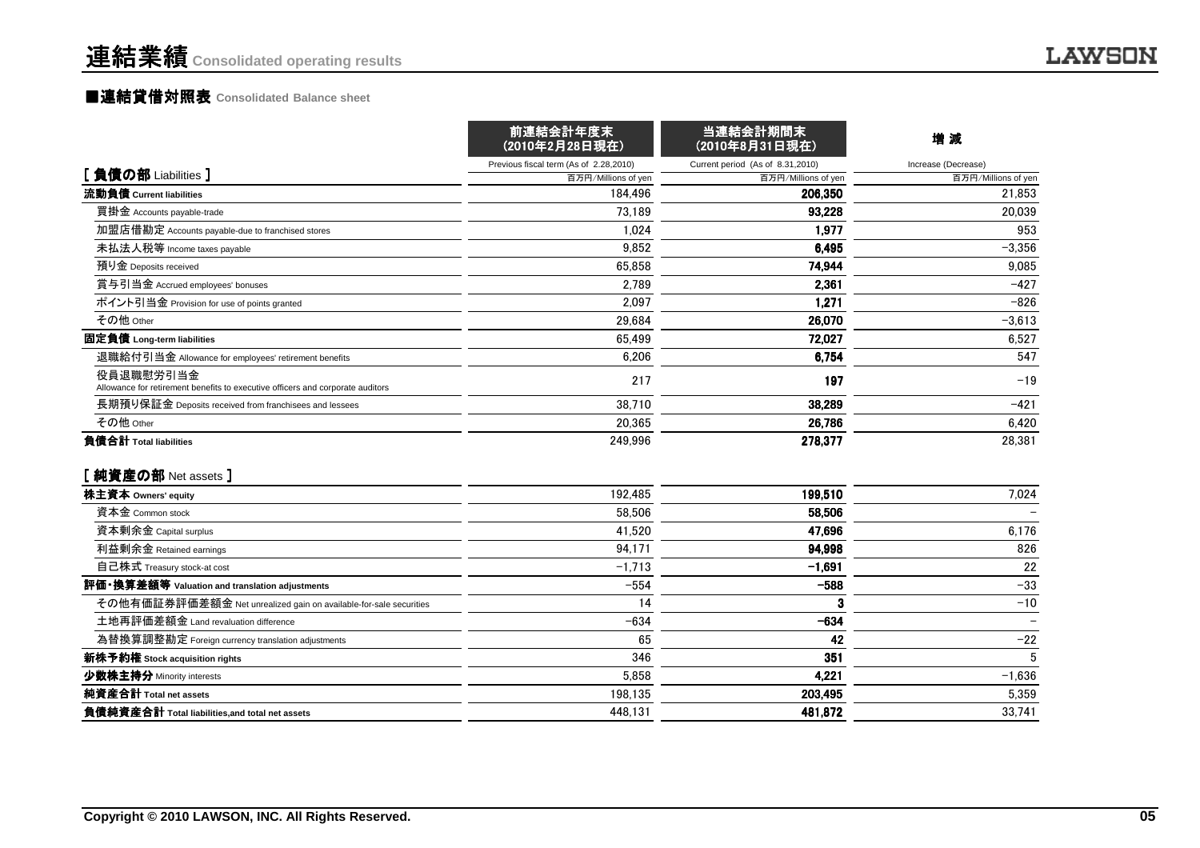#### ■連結貸借対照表 **Consolidated Balance sheet**

|                                                                                             | 前連結会計年度末<br>(2010年2月28日現在)             | 当連結会計期間末<br>(2010年8月31日現在)       | 增減                  |
|---------------------------------------------------------------------------------------------|----------------------------------------|----------------------------------|---------------------|
|                                                                                             | Previous fiscal term (As of 2.28,2010) | Current period (As of 8.31,2010) | Increase (Decrease) |
| [負債の部 Liabilities]                                                                          | 百万円/Millions of yen                    | 百万円/Millions of yen              | 百万円/Millions of yen |
| 流動負債 Current liabilities                                                                    | 184.496                                | 206.350                          | 21,853              |
| 買掛金 Accounts payable-trade                                                                  | 73,189                                 | 93,228                           | 20,039              |
| 加盟店借勘定 Accounts payable-due to franchised stores                                            | 1.024                                  | 1.977                            | 953                 |
| 未払法人税等 Income taxes payable                                                                 | 9,852                                  | 6,495                            | $-3,356$            |
| 預り金 Deposits received                                                                       | 65.858                                 | 74,944                           | 9,085               |
| 賞与引当金 Accrued employees' bonuses                                                            | 2,789                                  | 2,361                            | $-427$              |
| ポイント引当金 Provision for use of points granted                                                 | 2,097                                  | 1,271                            | $-826$              |
| その他 Other                                                                                   | 29,684                                 | 26,070                           | $-3,613$            |
| 固定負債 Long-term liabilities                                                                  | 65,499                                 | 72,027                           | 6,527               |
| 退職給付引当金 Allowance for employees' retirement benefits                                        | 6,206                                  | 6,754                            | 547                 |
| 役員退職慰労引当金<br>Allowance for retirement benefits to executive officers and corporate auditors | 217                                    | 197                              | $-19$               |
| 長期預り保証金 Deposits received from franchisees and lessees                                      | 38,710                                 | 38.289                           | $-421$              |
| その他 Other                                                                                   | 20,365                                 | 26,786                           | 6,420               |
| 負債合計 Total liabilities<br>[純資産の部 Net assets]                                                | 249,996                                | 278,377                          | 28,381              |
| 株主資本 Owners' equity                                                                         | 192,485                                | 199,510                          | 7,024               |
| 資本金 Common stock                                                                            | 58.506                                 | 58,506                           |                     |
| 資本剰余金 Capital surplus                                                                       | 41,520                                 | 47.696                           | 6,176               |
| 利益剰余金 Retained earnings                                                                     | 94,171                                 | 94,998                           | 826                 |
| 自己株式 Treasury stock-at cost                                                                 | $-1,713$                               | $-1.691$                         | 22                  |
| 評価・換算差額等 Valuation and translation adjustments                                              | $-554$                                 | $-588$                           | $-33$               |
| その他有価証券評価差額金 Net unrealized gain on available-for-sale securities                           | 14                                     | 3                                | $-10$               |
| 土地再評価差額金 Land revaluation difference                                                        | $-634$                                 | $-634$                           |                     |
| 為替換算調整勘定 Foreign currency translation adjustments                                           | 65                                     | 42                               | $-22$               |
| 新株予約権 Stock acquisition rights                                                              | 346                                    | 351                              | 5                   |
| 少数株主持分 Minority interests                                                                   | 5,858                                  | 4,221                            | $-1,636$            |
| 純資産合計 Total net assets                                                                      | 198.135                                | 203,495                          | 5,359               |
| 負債純資産合計 Total liabilities, and total net assets                                             | 448.131                                | 481,872                          | 33.741              |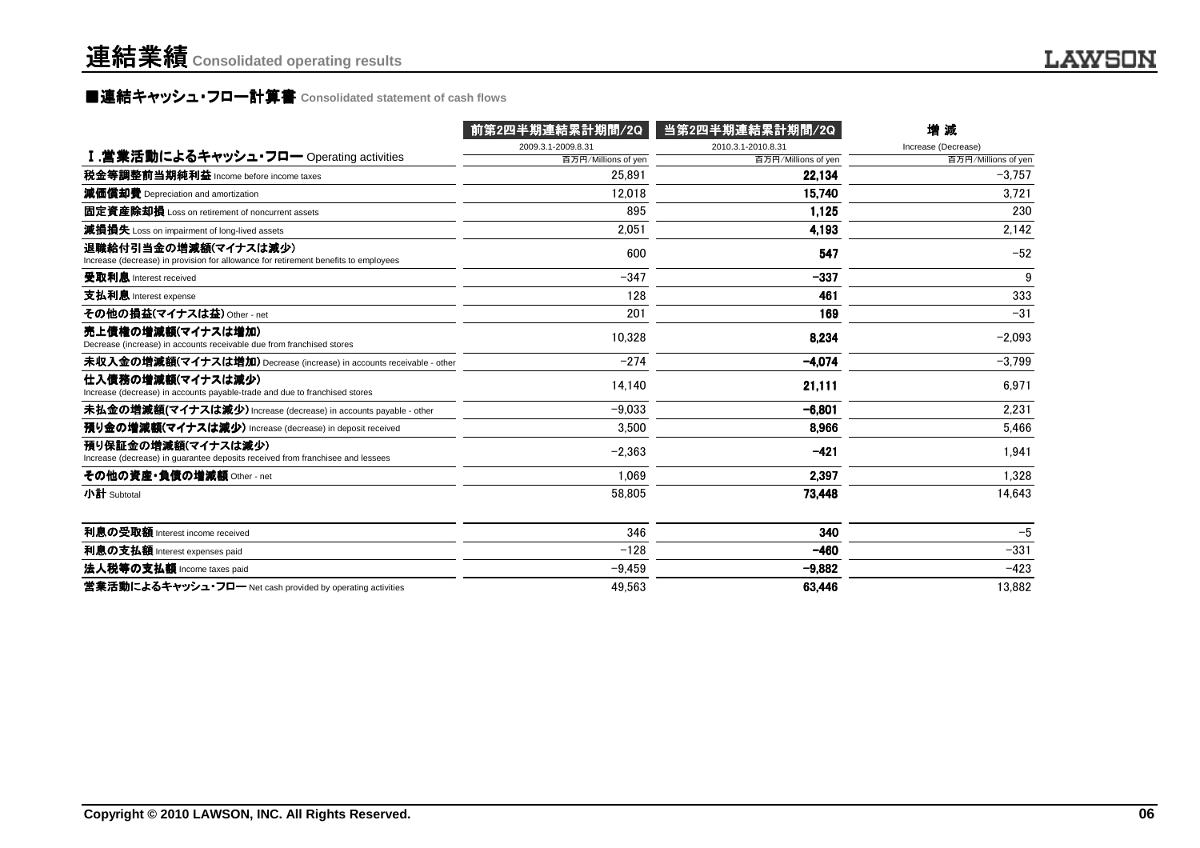### **■連結キャッシュ・フロ一計算書** Consolidated statement of cash flows<br>■

|                                                                                                             | 前第2四半期連結累計期間/2Q     | 当第2四半期連結累計期間/2Q     | 増減                  |
|-------------------------------------------------------------------------------------------------------------|---------------------|---------------------|---------------------|
|                                                                                                             | 2009.3.1-2009.8.31  | 2010.3.1-2010.8.31  | Increase (Decrease) |
| I.営業活動によるキャッシュ・フロー Operating activities                                                                     | 百万円/Millions of yen | 百万円/Millions of yen | 百万円/Millions of yen |
| 税金等調整前当期純利益 Income before income taxes                                                                      | 25.891              | 22.134              | $-3.757$            |
| 減価償却費 Depreciation and amortization                                                                         | 12,018              | 15.740              | 3,721               |
| 固定資産除却損 Loss on retirement of noncurrent assets                                                             | 895                 | 1.125               | 230                 |
| 減損損失 Loss on impairment of long-lived assets                                                                | 2,051               | 4,193               | 2,142               |
| 退職給付引当金の増減額(マイナスは減少)<br>Increase (decrease) in provision for allowance for retirement benefits to employees | 600                 | 547                 | $-52$               |
| 受取利息 Interest received                                                                                      | $-347$              | $-337$              | 9                   |
| 支払利息 Interest expense                                                                                       | 128                 | 461                 | 333                 |
| その他の損益(マイナスは益) Other - net                                                                                  | 201                 | 169                 | $-31$               |
| 売上債権の増減額(マイナスは増加)<br>Decrease (increase) in accounts receivable due from franchised stores                  | 10,328              | 8.234               | $-2,093$            |
| 未収入金の増減額(マイナスは増加) Decrease (increase) in accounts receivable - other                                        | $-274$              | $-4.074$            | $-3.799$            |
| 仕入債務の増減額(マイナスは減少)<br>Increase (decrease) in accounts payable-trade and due to franchised stores             | 14,140              | 21,111              | 6,971               |
| 未払金の増減額(マイナスは減少) Increase (decrease) in accounts payable - other                                            | $-9.033$            | $-6,801$            | 2.231               |
| 預り金の増減額(マイナスは減少) Increase (decrease) in deposit received                                                    | 3.500               | 8.966               | 5.466               |
| 預り保証金の増減額(マイナスは減少)<br>Increase (decrease) in quarantee deposits received from franchisee and lessees        | $-2,363$            | $-421$              | 1,941               |
| その他の資産・負債の増減額 Other - net                                                                                   | 1.069               | 2.397               | 1.328               |
| 小計 Subtotal                                                                                                 | 58.805              | 73,448              | 14,643              |
| 利息の受取額 Interest income received                                                                             | 346                 | 340                 | $-5$                |
| 利息の支払額 Interest expenses paid                                                                               | $-128$              | $-460$              | $-331$              |
| 法人税等の支払額 Income taxes paid                                                                                  | $-9,459$            | $-9,882$            | $-423$              |
| 営業活動によるキャッシュ・フロー Net cash provided by operating activities                                                  | 49,563              | 63,446              | 13.882              |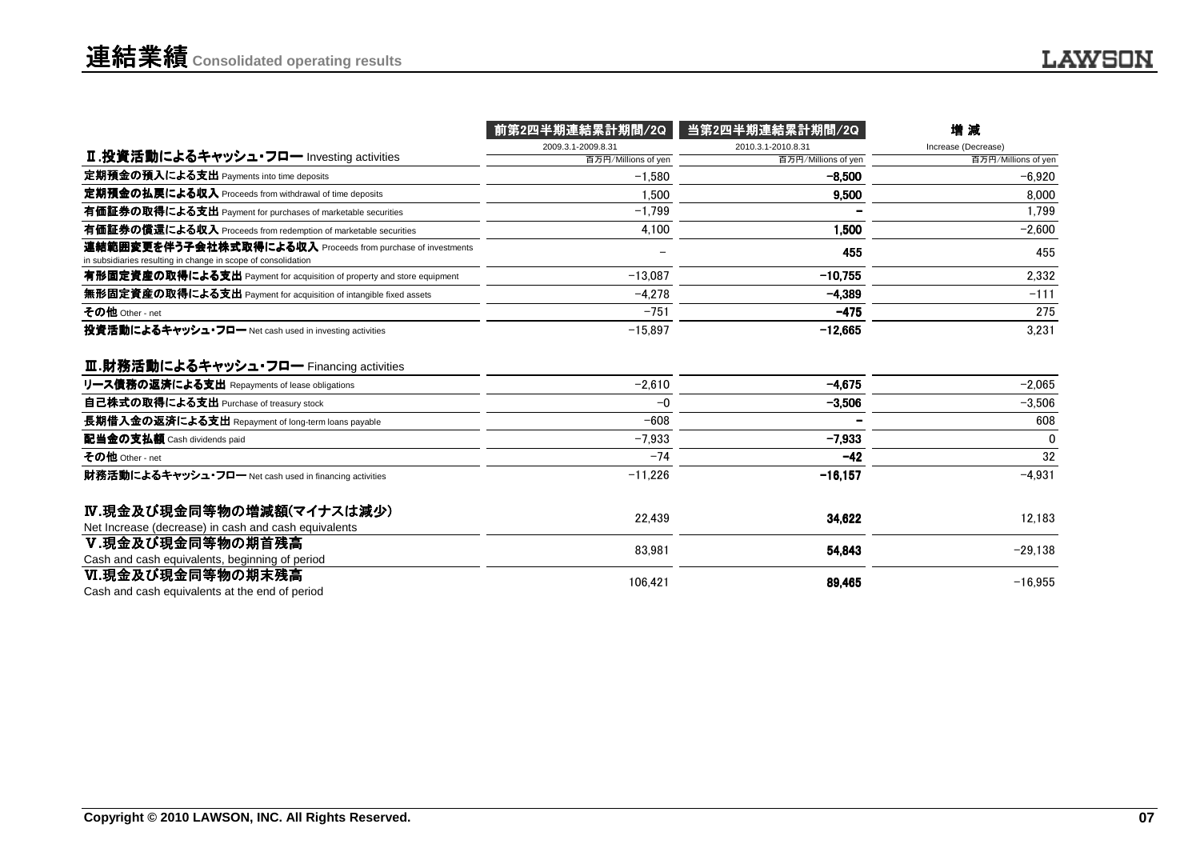|                                                                                                                              | 前第2四半期連結累計期間/2Q     | 当第2四半期連結累計期間/2Q     | 増減                  |
|------------------------------------------------------------------------------------------------------------------------------|---------------------|---------------------|---------------------|
|                                                                                                                              | 2009.3.1-2009.8.31  | 2010.3.1-2010.8.31  | Increase (Decrease) |
| Ⅱ.投資活動によるキャッシュ・フロー Investing activities                                                                                      | 百万円/Millions of yen | 百万円/Millions of yen | 百万円/Millions of yen |
| 定期預金の預入による支出 Payments into time deposits                                                                                     | $-1.580$            | $-8.500$            | $-6.920$            |
| 定期預金の払戻による収入 Proceeds from withdrawal of time deposits                                                                       | 1.500               | 9,500               | 8.000               |
| 有価証券の取得による支出 Payment for purchases of marketable securities                                                                  | $-1.799$            |                     | 1.799               |
| 有価証券の償還による収入 Proceeds from redemption of marketable securities                                                               | 4,100               | 1.500               | $-2,600$            |
| 連結範囲変更を伴う子会社株式取得による収入 Proceeds from purchase of investments<br>in subsidiaries resulting in change in scope of consolidation |                     | 455                 | 455                 |
| 有形固定資産の取得による支出 Payment for acquisition of property and store equipment                                                       | $-13.087$           | $-10.755$           | 2.332               |
| 無形固定資産の取得による支出 Payment for acquisition of intangible fixed assets                                                            | $-4.278$            | $-4.389$            | $-111$              |
| その他 Other - net                                                                                                              | $-751$              | $-475$              | 275                 |
| 投資活動によるキャッシュ・フロー Net cash used in investing activities                                                                       | $-15.897$           | $-12.665$           | 3.231               |
| Ⅲ.財務活動によるキャッシュ・フロー Financing activities<br>リース債務の返済による支出 Repayments of lease obligations                                     | $-2,610$            | $-4.675$            | $-2.065$            |
| 自己株式の取得による支出 Purchase of treasury stock                                                                                      | $-0$                | $-3.506$            | $-3,506$            |
| 長期借入金の返済による支出 Repayment of long-term loans payable                                                                           | $-608$              |                     | 608                 |
| 配当金の支払額 Cash dividends paid                                                                                                  | $-7.933$            | $-7.933$            | 0                   |
| その他 Other - net                                                                                                              | $-74$               | $-42$               | 32                  |
| 財務活動によるキャッシュ・フロー Net cash used in financing activities                                                                       | $-11,226$           | $-16, 157$          | $-4,931$            |
| Ⅳ.現金及び現金同等物の増減額(マイナスは減少)<br>Net Increase (decrease) in cash and cash equivalents                                             | 22,439              | 34,622              | 12,183              |
| Ⅴ.現金及び現金同等物の期首残高<br>Cash and cash equivalents, beginning of period                                                           | 83.981              | 54.843              | $-29.138$           |
| Ⅵ.現金及び現金同等物の期末残高<br>Cash and cash equivalents at the end of period                                                           | 106,421             | 89.465              | $-16,955$           |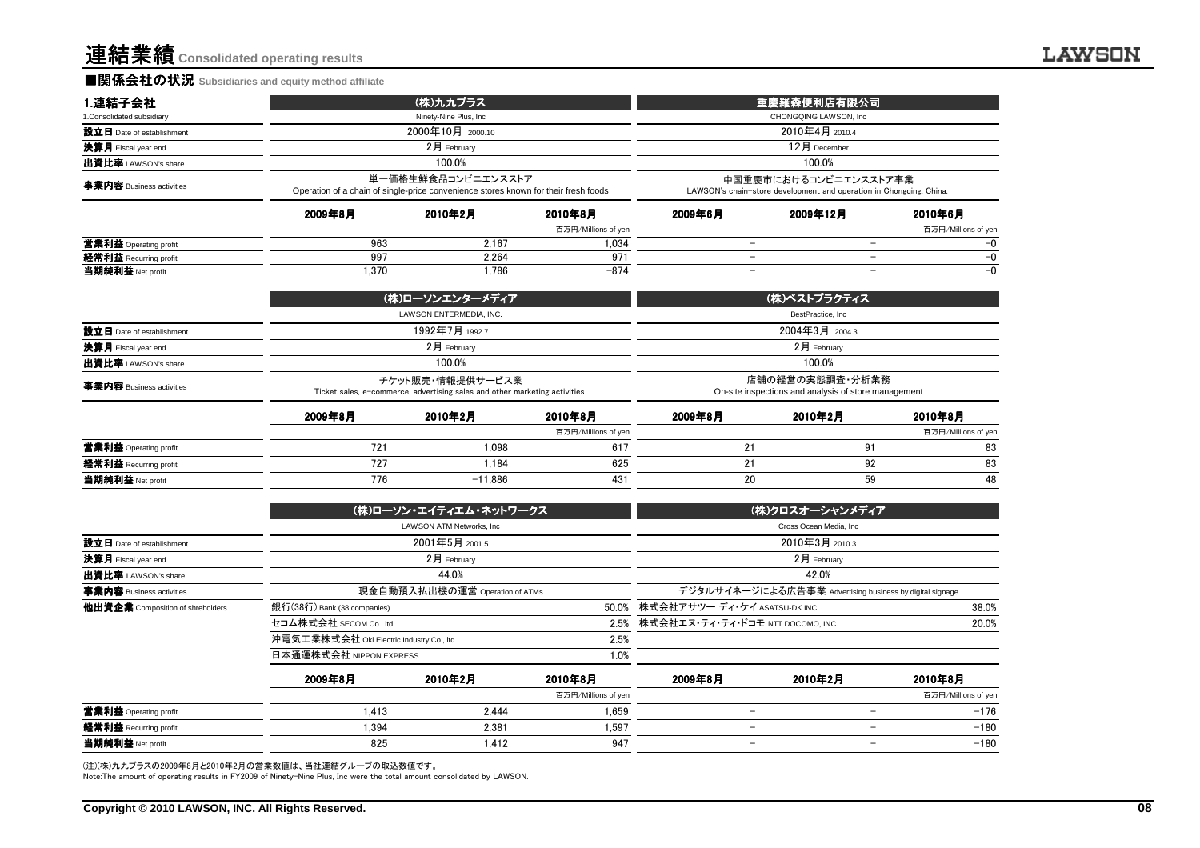#### ■関係会社の状況 **Subsidiaries and equity method affiliate**

| 1.連結子会社                    |         | (株)九九プラス                                                                                                  |                     | 重慶羅森便利店有限公司                                                                                  |                                                                         |                     |  |
|----------------------------|---------|-----------------------------------------------------------------------------------------------------------|---------------------|----------------------------------------------------------------------------------------------|-------------------------------------------------------------------------|---------------------|--|
| 1. Consolidated subsidiary |         | Ninety-Nine Plus, Inc.                                                                                    |                     | CHONGQING LAWSON. Inc                                                                        |                                                                         |                     |  |
| 設立日 Date of establishment  |         | 2000年10月 2000.10                                                                                          |                     | 2010年4月 2010.4                                                                               |                                                                         |                     |  |
| 決算月 Fiscal year end        |         | 2月 February                                                                                               |                     | 12月 December                                                                                 |                                                                         |                     |  |
| 出資比率 LAWSON's share        |         | 100.0%                                                                                                    |                     |                                                                                              | 100.0%                                                                  |                     |  |
| 事業内容 Business activities   |         | 単一価格生鮮食品コンビニエンスストア<br>Operation of a chain of single-price convenience stores known for their fresh foods |                     | 中国重慶市におけるコンビニエンスストア事業<br>LAWSON's chain-store development and operation in Chongging, China. |                                                                         |                     |  |
|                            | 2009年8月 | 2010年2月                                                                                                   | 2010年8月             | 2009年6月                                                                                      | 2009年12月                                                                | 2010年6月             |  |
|                            |         |                                                                                                           | 百万円/Millions of yen |                                                                                              |                                                                         | 百万円/Millions of yen |  |
| 営業利益 Operating profit      | 963     | 2.167                                                                                                     | 1,034               | $\qquad \qquad -$                                                                            | $\overline{\phantom{0}}$                                                | -0                  |  |
| 経常利益 Recurring profit      | 997     | 2,264                                                                                                     | 971                 | $\overline{\phantom{0}}$                                                                     | -                                                                       | $-0$                |  |
| 当期純利益 Net profit           | 1.370   | 1.786                                                                                                     | $-874$              | $\overline{\phantom{a}}$                                                                     | $\overline{\phantom{0}}$                                                | $-0$                |  |
|                            |         | (株)ローソンエンターメディア                                                                                           |                     | (株)ベストプラクティス                                                                                 |                                                                         |                     |  |
|                            |         | LAWSON ENTERMEDIA, INC.                                                                                   |                     |                                                                                              | BestPractice, Inc.                                                      |                     |  |
| 設立日 Date of establishment  |         | 1992年7月 1992.7                                                                                            |                     | 2004年3月 2004.3                                                                               |                                                                         |                     |  |
| 決算月 Fiscal year end        |         | 2月 February                                                                                               |                     | 2月 February                                                                                  |                                                                         |                     |  |
| 出資比率 LAWSON's share        |         | 100.0%                                                                                                    |                     | 100.0%                                                                                       |                                                                         |                     |  |
| 事業内容 Business activities   |         | チケット販売・情報提供サービス業<br>Ticket sales, e-commerce, advertising sales and other marketing activities            |                     |                                                                                              | 店舗の経営の実態調査・分析業務<br>On-site inspections and analysis of store management |                     |  |
|                            | 2009年8月 | 2010年2月                                                                                                   | 2010年8月             | 2009年8月                                                                                      | 2010年2月                                                                 | 2010年8月             |  |
|                            |         |                                                                                                           | 百万円/Millions of yen |                                                                                              |                                                                         | 百万円/Millions of yen |  |
| 営業利益 Operating profit      | 721     | 1.098                                                                                                     | 617                 | 21                                                                                           | 91                                                                      | 83                  |  |
| 経常利益 Recurring profit      | 727     | 1.184                                                                                                     | 625                 | 21                                                                                           | 92                                                                      | 83                  |  |
|                            | 770     | $+1.000$                                                                                                  | 40 <sup>4</sup>     | $\sim$                                                                                       | ro.                                                                     | $\overline{10}$     |  |

|                                  |                                          | (株)ローソン・エイティエム・ネットワークス          |                     |                          | (株)クロスオーシャンメディア                                          |                     |  |
|----------------------------------|------------------------------------------|---------------------------------|---------------------|--------------------------|----------------------------------------------------------|---------------------|--|
|                                  |                                          | LAWSON ATM Networks, Inc.       |                     |                          | Cross Ocean Media, Inc.                                  |                     |  |
| 設立日 Date of establishment        |                                          | 2001年5月 2001.5                  |                     | 2010年3月 2010.3           |                                                          |                     |  |
| 決算月 Fiscal year end              |                                          | $2$ 月 February                  |                     | $2月$ February            |                                                          |                     |  |
| 出資比率 LAWSON's share              |                                          | 44.0%                           |                     |                          | 42.0%                                                    |                     |  |
| 事業内容 Business activities         |                                          | 現金自動預入払出機の運営 Operation of ATMs  |                     |                          | デジタルサイネージによる広告事業 Advertising business by digital signage |                     |  |
| 他出資企業 Composition of shreholders | 銀行(38行) Bank (38 companies)              | 50.0%                           |                     |                          | 株式会社アサツー ディ・ケイ ASATSU-DK INC                             |                     |  |
|                                  | セコム株式会社 SECOM Co., Itd                   | 2.5%                            |                     |                          | 株式会社エヌ・ティ・ティ・ドコモ NTT DOCOMO, INC.<br>20.0%               |                     |  |
|                                  | 沖電気工業株式会社 Oki Electric Industry Co., Itd |                                 | 2.5%                |                          |                                                          |                     |  |
|                                  |                                          | 日本通運株式会社 NIPPON EXPRESS<br>1.0% |                     |                          |                                                          |                     |  |
|                                  | 2009年8月                                  | 2010年2月                         | 2010年8月             | 2009年8月                  | 2010年2月                                                  | 2010年8月             |  |
|                                  |                                          |                                 | 百万円/Millions of yen |                          |                                                          | 百万円/Millions of yen |  |
| 営業利益 Operating profit            | 1.413                                    | 2.444                           | 1.659               |                          |                                                          | $-176$              |  |
| 経常利益 Recurring profit            | 1.394                                    | 2.381                           | 1.597               | $\overline{\phantom{0}}$ | $\overline{\phantom{0}}$                                 | $-180$              |  |
| 当期純利益 Net profit                 | 825                                      | 1.412                           | 947                 |                          | $\overline{\phantom{0}}$                                 | $-180$              |  |

<sup>776</sup> -11,886 <sup>431</sup> <sup>20</sup> <sup>59</sup> <sup>48</sup>

(注)(株)九九プラスの2009年8月と2010年2月の営業数値は、当社連結グループの取込数値です。

Note:The amount of operating results in FY2009 of Ninety-Nine Plus, Inc were the total amount consolidated by LAWSON.

当期純利益 Net profit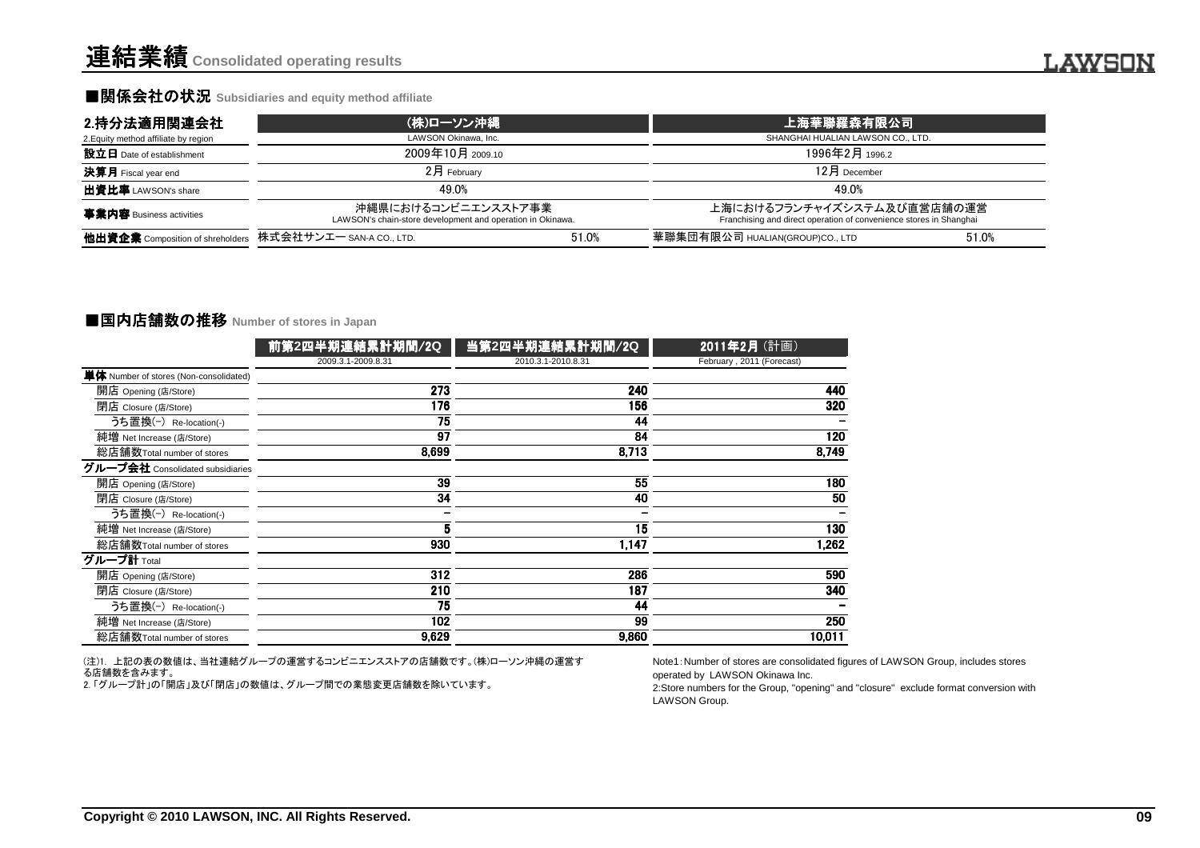#### ■関係会社の状況 Subsidiaries and equity method affiliate

| 2.持分法適用関連会社                                               | (株)ローソン沖縄                                                                         |       | L 上海華聯羅 <u>森有限公司</u>                                                                             |       |  |  |
|-----------------------------------------------------------|-----------------------------------------------------------------------------------|-------|--------------------------------------------------------------------------------------------------|-------|--|--|
| 2. Equity method affiliate by region                      | LAWSON Okinawa, Inc.                                                              |       | SHANGHAI HUALIAN LAWSON CO., LTD.                                                                |       |  |  |
| 設立日 Date of establishment                                 | 2009年10月 2009.10                                                                  |       | 1996年2月 1996.2                                                                                   |       |  |  |
| <b>決算月</b> Fiscal year end                                | $2$ 月 February                                                                    |       | $12月$ December                                                                                   |       |  |  |
| 出資比率 LAWSON's share                                       | 49.0%                                                                             |       | 49.0%                                                                                            |       |  |  |
| <b>事業内容</b> Business activities                           | 沖縄県におけるコンビニエンスストア事業<br>LAWSON's chain-store development and operation in Okinawa. |       | 上海におけるフランチャイズシステム及び直営店舗の運営<br>Franchising and direct operation of convenience stores in Shanghai |       |  |  |
| 他出資企業 Composition of shreholders 株式会社サンエー SAN-A CO., LTD. |                                                                                   | 51.0% | 華聯集団有限公司 HUALIAN(GROUP)CO., LTD                                                                  | 51.0% |  |  |

#### **■国内店舗数の推移 Number of stores in Japan**

|                                                    | 前第2四半期連結累計期間/2Q                                                                                               | 当第2四半期連結累計期間/2Q    | 2011年2月 (計画)                                                                                                                                                                                                                   |  |
|----------------------------------------------------|---------------------------------------------------------------------------------------------------------------|--------------------|--------------------------------------------------------------------------------------------------------------------------------------------------------------------------------------------------------------------------------|--|
|                                                    | 2009.3.1-2009.8.31                                                                                            | 2010.3.1-2010.8.31 | February, 2011 (Forecast)                                                                                                                                                                                                      |  |
| 単体 Number of stores (Non-consolidated)             |                                                                                                               |                    |                                                                                                                                                                                                                                |  |
| 開店 Opening (店/Store)                               | $\overline{273}$                                                                                              | 240                | 440                                                                                                                                                                                                                            |  |
| 閉店 Closure (店/Store)                               | 176                                                                                                           | 156                | 320                                                                                                                                                                                                                            |  |
| うち置換(-) Re-location(-)                             | 75                                                                                                            | 44                 |                                                                                                                                                                                                                                |  |
| 純増 Net Increase (店/Store)                          | 97                                                                                                            | 84                 | 120                                                                                                                                                                                                                            |  |
| 総店舗数Total number of stores                         | 8,699                                                                                                         | 8,713              | 8,749                                                                                                                                                                                                                          |  |
| グループ会社 Consolidated subsidiaries                   |                                                                                                               |                    |                                                                                                                                                                                                                                |  |
| 開店 Opening (店/Store)                               | 39                                                                                                            | $\overline{55}$    | 180                                                                                                                                                                                                                            |  |
| 閉店 Closure (店/Store)                               | 34                                                                                                            | 40                 | 50                                                                                                                                                                                                                             |  |
| うち置換(-) Re-location(-)                             |                                                                                                               |                    |                                                                                                                                                                                                                                |  |
| 純増 Net Increase (店/Store)                          | 5                                                                                                             | 15                 | 130                                                                                                                                                                                                                            |  |
| 総店舗数Total number of stores                         | 930                                                                                                           | 1,147              | 1,262                                                                                                                                                                                                                          |  |
| グループ計 Total                                        |                                                                                                               |                    |                                                                                                                                                                                                                                |  |
| 開店 Opening (店/Store)                               | 312                                                                                                           | 286                | 590                                                                                                                                                                                                                            |  |
| 閉店 Closure (店/Store)                               | 210                                                                                                           | 187                | 340                                                                                                                                                                                                                            |  |
| うち置換(-) Re-location(-)                             | $\overline{75}$                                                                                               | 44                 |                                                                                                                                                                                                                                |  |
| 純増 Net Increase (店/Store)                          | 102                                                                                                           | 99                 | 250                                                                                                                                                                                                                            |  |
| 総店舗数Total number of stores                         | 9.629                                                                                                         | 9.860              | 10,011                                                                                                                                                                                                                         |  |
| る店舗数を含みます。                                         | (注)1. 上記の表の数値は、当社連結グループの運営するコンビニエンスストアの店舗数です。(株)ローソン沖縄の運営す<br>2.「グループ計」の「開店」及び「閉店」の数値は、グループ間での業態変更店舗数を除いています。 |                    | Note1: Number of stores are consolidated figures of LAWSON Group, includes stores<br>operated by LAWSON Okinawa Inc.<br>2:Store numbers for the Group, "opening" and "closure" exclude format conversion with<br>LAWSON Group. |  |
|                                                    |                                                                                                               |                    |                                                                                                                                                                                                                                |  |
|                                                    |                                                                                                               |                    |                                                                                                                                                                                                                                |  |
|                                                    |                                                                                                               |                    |                                                                                                                                                                                                                                |  |
| Copyright © 2010 LAWSON, INC. All Rights Reserved. |                                                                                                               |                    |                                                                                                                                                                                                                                |  |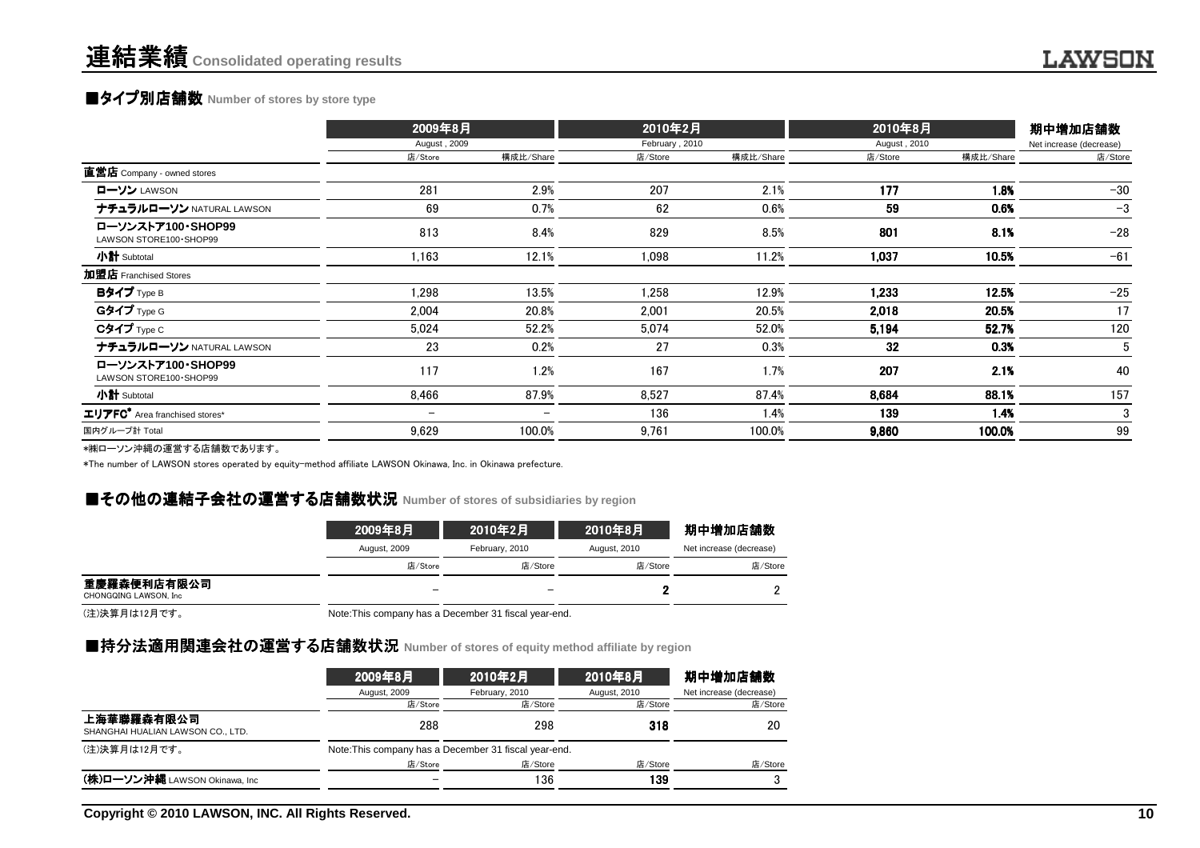# **■タイプ別店舗数** Number of stores by store type

|                                                     | 2009年8月<br>August, 2009  |           | 2010年2月        |           | 2010年8月      |           | 期中増加店舗数                 |  |
|-----------------------------------------------------|--------------------------|-----------|----------------|-----------|--------------|-----------|-------------------------|--|
|                                                     |                          |           | February, 2010 |           | August, 2010 |           | Net increase (decrease) |  |
|                                                     | 店/Store                  | 構成比/Share | 店/Store        | 構成比/Share | 店/Store      | 構成比/Share | 店/Store                 |  |
| 直営店 Company - owned stores                          |                          |           |                |           |              |           |                         |  |
| ローソン LAWSON                                         | 281                      | 2.9%      | 207            | 2.1%      | 177          | 1.8%      | $-30$                   |  |
| ナチュラルローソン NATURAL LAWSON                            | 69                       | 0.7%      | 62             | 0.6%      | 59           | 0.6%      | $-3$                    |  |
| ローソンストア100·SHOP99<br>LAWSON STORE100 · SHOP99       | 813                      | 8.4%      | 829            | 8.5%      | 801          | 8.1%      | $-28$                   |  |
| 小計 Subtotal                                         | 1,163                    | 12.1%     | 1,098          | 11.2%     | 1,037        | 10.5%     | $-61$                   |  |
| 加盟店 Franchised Stores                               |                          |           |                |           |              |           |                         |  |
| Bタイプ Type B                                         | 1,298                    | 13.5%     | 1,258          | 12.9%     | 1.233        | 12.5%     | $-25$                   |  |
| Gタイプ Type G                                         | 2,004                    | 20.8%     | 2.001          | 20.5%     | 2,018        | 20.5%     | 17                      |  |
| $C$ タイプ $Type C$                                    | 5,024                    | 52.2%     | 5,074          | 52.0%     | 5,194        | 52.7%     | 120                     |  |
| ナチュラルローソン NATURAL LAWSON                            | 23                       | 0.2%      | 27             | 0.3%      | 32           | 0.3%      | 5                       |  |
| ローソンストア100·SHOP99<br>LAWSON STORE100 · SHOP99       | 117                      | 1.2%      | 167            | 1.7%      | 207          | 2.1%      | 40                      |  |
| 小計 Subtotal                                         | 8,466                    | 87.9%     | 8,527          | 87.4%     | 8,684        | 88.1%     | 157                     |  |
| $\texttt{\texttt{IJ}FFC}^*$ Area franchised stores* | $\overline{\phantom{m}}$ |           | 136            | 1.4%      | 139          | 1.4%      | 3                       |  |
| 国内グループ計 Total                                       | 9,629                    | 100.0%    | 9,761          | 100.0%    | 9,860        | 100.0%    | 99                      |  |
|                                                     |                          |           |                |           |              |           |                         |  |

\*㈱ローソン沖縄の運営する店舗数であります。

\*The number of LAWSON stores operated by equity-method affiliate LAWSON Okinawa, Inc. in Okinawa prefecture.

## **■その他の連結子会社の運営する店舗数状況** Number of stores of subsidiaries by region<br>→

|                                      | 2009年8月                  | 2010年2月        | 2010年8月      | 期中増加店舗数                 |
|--------------------------------------|--------------------------|----------------|--------------|-------------------------|
|                                      | August, 2009             | February, 2010 | August, 2010 | Net increase (decrease) |
|                                      | 店/Store                  | 店/Store        | 店/Store      | 店/Store                 |
| 重慶羅森便利店有限公司<br>CHONGQING LAWSON, Inc | $\overline{\phantom{m}}$ |                |              |                         |

(注)決算月は12月です。

Note:This company has a December 31 fiscal year-end.

### ■持分法適用関連会社の運営する店舗数状況 Number of stores of equity method affiliate by region<br>→

|                                                 | 2009年8月                                               | 2010年2月        | 2010年8月      | 期中增加店舗数                 |
|-------------------------------------------------|-------------------------------------------------------|----------------|--------------|-------------------------|
|                                                 | August, 2009                                          | February, 2010 | August, 2010 | Net increase (decrease) |
|                                                 | 店/Store                                               | 店/Store        | 店/Store      | 店/Store                 |
| 上海華聯羅森有限公司<br>SHANGHAI HUALIAN LAWSON CO., LTD. | 288                                                   | 298            | 318          | 20                      |
| (注)決算月は12月です。                                   | Note: This company has a December 31 fiscal year-end. |                |              |                         |
|                                                 | 店/Store                                               | 店/Store        | 店/Store      | 店/Store                 |
| (株)ローソン沖縄 LAWSON Okinawa, Inc                   |                                                       | 136            | 139          |                         |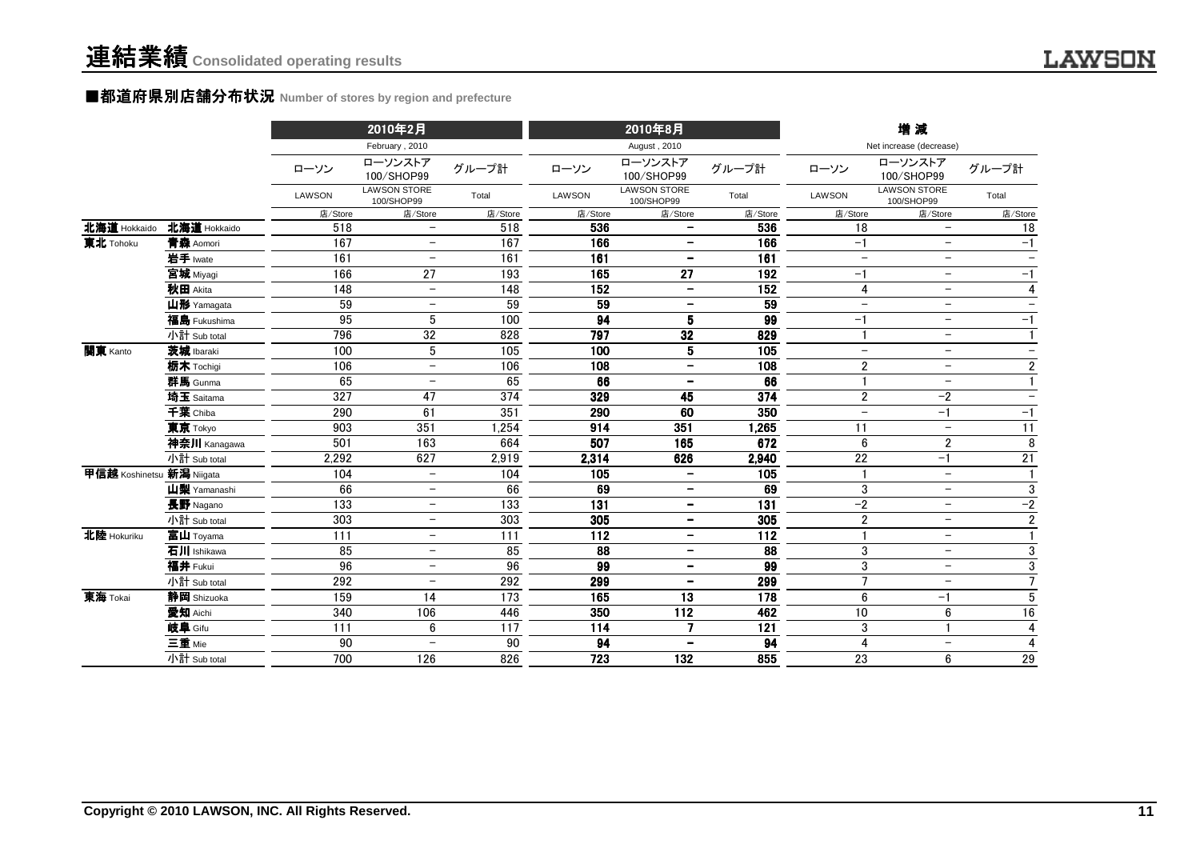#### ■都道府県別店舗分布状況 Number of stores by region and prefecture

|                           |              |               | 2010年2月                           |         |         | 2010年8月                           |                 |                          | 増減                                |                          |
|---------------------------|--------------|---------------|-----------------------------------|---------|---------|-----------------------------------|-----------------|--------------------------|-----------------------------------|--------------------------|
|                           |              |               | February, 2010                    |         |         | August, 2010                      |                 |                          | Net increase (decrease)           |                          |
|                           |              | ローソン          | ローソンストア<br>100/SHOP99             | グループ計   | ローソン    | ローソンストア<br>100/SHOP99             | グループ計           | ローソン                     | ローソンストア<br>100/SHOP99             | グループ計                    |
|                           |              | <b>LAWSON</b> | <b>LAWSON STORE</b><br>100/SHOP99 | Total   | LAWSON  | <b>LAWSON STORE</b><br>100/SHOP99 | Total           | LAWSON                   | <b>LAWSON STORE</b><br>100/SHOP99 | Total                    |
|                           |              | 店/Store       | 店/Store                           | 店/Store | 店/Store | 店/Store                           | 店/Store         | 店/Store                  | 店/Store                           | 店/Store                  |
| 北海道 Hokkaido              | 北海道 Hokkaido | 518           | $\qquad \qquad -$                 | 518     | 536     | $\qquad \qquad -$                 | 536             | 18                       | $\overline{\phantom{0}}$          | 18                       |
| 東北 Tohoku                 | 青森 Aomori    | 167           | $\overline{\phantom{0}}$          | 167     | 166     | $\overline{\phantom{a}}$          | 166             | $-1$                     | $-$                               | $-1$                     |
|                           | 岩手 Iwate     | 161           | $\qquad \qquad -$                 | 161     | 161     | $\overline{\phantom{a}}$          | 161             | $\overline{\phantom{m}}$ | $\overline{\phantom{m}}$          |                          |
|                           | 宫城 Miyagi    | 166           | 27                                | 193     | 165     | 27                                | 192             | $-1$                     | $\overline{\phantom{m}}$          | $-1$                     |
|                           | 秋田 Akita     | 148           | $\overline{\phantom{m}}$          | 148     | 152     | $\overline{\phantom{m}}$          | 152             | 4                        | $\overline{\phantom{0}}$          | $\overline{4}$           |
|                           | 山形 Yamagata  | 59            | $\overline{\phantom{0}}$          | 59      | 59      | $\overline{\phantom{0}}$          | 59              | $\overline{\phantom{0}}$ | $\overline{\phantom{0}}$          |                          |
|                           | 福島 Fukushima | 95            | 5                                 | 100     | 94      | 5                                 | 99              | $-1$                     | $\overline{\phantom{m}}$          | $-1$                     |
|                           | 小計 Sub total | 796           | 32                                | 828     | 797     | 32                                | 829             |                          | $-$                               | $\mathbf{1}$             |
| 関東 Kanto                  | 茨城 Ibaraki   | 100           | 5                                 | 105     | 100     | 5                                 | 105             | $\overline{\phantom{0}}$ | $\overline{\phantom{m}}$          | $\overline{\phantom{m}}$ |
|                           | 栃木 Tochigi   | 106           | $\overline{\phantom{m}}$          | 106     | 108     | $\overline{\phantom{m}}$          | 108             | $\overline{2}$           | $\overline{\phantom{m}}$          | $\overline{2}$           |
|                           | 群馬 Gunma     | 65            | $\overline{\phantom{m}}$          | 65      | 66      | $\overline{\phantom{m}}$          | 66              |                          | $-$                               | $\mathbf{1}$             |
|                           | 埼玉 Saitama   | 327           | 47                                | 374     | 329     | 45                                | 374             | $\overline{2}$           | $-2$                              | $\overline{\phantom{m}}$ |
|                           | 千葉 Chiba     | 290           | 61                                | 351     | 290     | 60                                | 350             | $\overline{\phantom{0}}$ | $-1$                              | $-1$                     |
|                           | 東京 Tokyo     | 903           | 351                               | 1,254   | 914     | 351                               | 1,265           | 11                       | $\overline{\phantom{0}}$          | 11                       |
|                           | 神奈川 Kanagawa | 501           | 163                               | 664     | 507     | 165                               | 672             | 6                        | $\overline{2}$                    | 8                        |
|                           | 小計 Sub total | 2,292         | 627                               | 2,919   | 2,314   | 626                               | 2,940           | 22                       | $-1$                              | 21                       |
| 甲信越 Koshinetsu 新潟 Niigata |              | 104           | $\overline{\phantom{0}}$          | 104     | 105     | $\overline{\phantom{a}}$          | 105             |                          | $\overline{\phantom{a}}$          |                          |
|                           | 山梨 Yamanashi | 66            | $\overline{\phantom{0}}$          | 66      | 69      | $\overline{\phantom{a}}$          | 69              | $\sqrt{3}$               | $\overline{\phantom{m}}$          | $\sqrt{3}$               |
|                           | 長野 Nagano    | 133           | $\overline{\phantom{0}}$          | 133     | 131     | $\overline{\phantom{a}}$          | 131             | $-2$                     | $-$                               | $-2$                     |
|                           | 小計 Sub total | 303           | $\overline{\phantom{0}}$          | 303     | 305     | $\overline{\phantom{a}}$          | 305             | $\overline{2}$           | $\overline{\phantom{0}}$          | $\overline{2}$           |
| 北陸 Hokuriku               | 富山 Toyama    | 111           | $\overline{\phantom{m}}$          | 111     | 112     | $\overline{\phantom{m}}$          | $\frac{1}{112}$ | $\mathbf{1}$             | $-$                               | $\overline{1}$           |
|                           | 石川 Ishikawa  | 85            | $\overline{\phantom{m}}$          | 85      | 88      | $\overline{\phantom{m}}$          | 88              | $\mathfrak{3}$           | $\overline{\phantom{m}}$          | $\sqrt{3}$               |
|                           | 福井 Fukui     | 96            | $\overline{\phantom{m}}$          | 96      | 99      | $\overline{\phantom{a}}$          | 99              | 3                        | $\overline{\phantom{a}}$          | $\overline{3}$           |
|                           | 小計 Sub total | 292           | $\overline{\phantom{m}}$          | 292     | 299     | $\overline{\phantom{m}}$          | 299             | $\overline{7}$           | $\overline{\phantom{0}}$          | $\overline{7}$           |
| 東海 Tokai                  | 静岡 Shizuoka  | 159           | 14                                | 173     | 165     | 13                                | 178             | 6                        | $-1$                              | $\overline{5}$           |
|                           | 愛知 Aichi     | 340           | 106                               | 446     | 350     | 112                               | 462             | 10                       | 6                                 | 16                       |
|                           | 岐阜 Gifu      | 111           | 6                                 | 117     | 114     | $\overline{7}$                    | 121             | 3                        | $\mathbf{1}$                      | 4                        |
|                           | 三重 Mie       | 90            | $\overline{\phantom{m}}$          | 90      | 94      | $\overline{\phantom{a}}$          | 94              | $\overline{4}$           | $-$                               | $\overline{4}$           |
|                           | 小計 Sub total | 700           | 126                               | 826     | 723     | 132                               | 855             | 23                       | 6                                 | 29                       |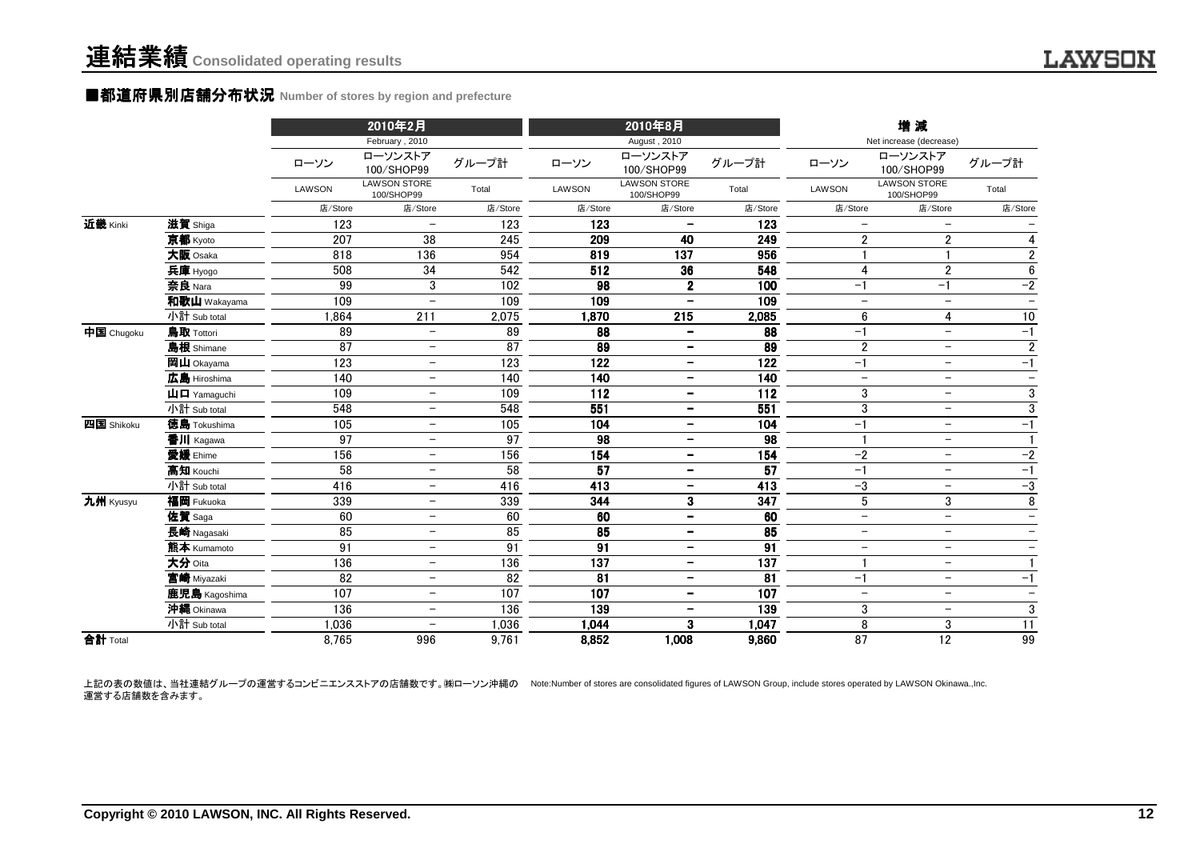#### ■都道府県別店舗分布状況 **Number of stores by region and prefecture**

|            |                                                      |               | 2010年2月                           |                 |         | 2010年8月                           |                   |                          | 増減                                |                          |
|------------|------------------------------------------------------|---------------|-----------------------------------|-----------------|---------|-----------------------------------|-------------------|--------------------------|-----------------------------------|--------------------------|
|            |                                                      |               | February, 2010                    |                 |         | August, 2010                      |                   |                          | Net increase (decrease)           |                          |
|            |                                                      | ローソン          | ローソンストア<br>100/SHOP99             | グループ計           | ローソン    | ローソンストア<br>100/SHOP99             | グループ計             | ローソン                     | ローソンストア<br>100/SHOP99             | グループ計                    |
|            |                                                      | <b>LAWSON</b> | <b>LAWSON STORE</b><br>100/SHOP99 | Total           | LAWSON  | <b>LAWSON STORE</b><br>100/SHOP99 | Total             | LAWSON                   | <b>LAWSON STORE</b><br>100/SHOP99 | Total                    |
|            |                                                      | 店/Store       | 店/Store                           | 店/Store         | 店/Store | 店/Store                           | 店/Store           | 店/Store                  | 店/Store                           | 店/Store                  |
| 近畿 Kinki   | 滋賀 Shiga                                             | 123           | $\overline{\phantom{m}}$          | 123             | 123     |                                   | 123               | $\overline{\phantom{m}}$ |                                   |                          |
|            | 京都 Kyoto                                             | 207           | 38                                | 245             | 209     | 40                                | 249               | $\overline{2}$           | $\overline{2}$                    | $\overline{4}$           |
|            | 大阪 Osaka                                             | 818           | 136                               | 954             | 819     | 137                               | 956               |                          | -1                                | $\overline{2}$           |
|            | 兵庫 Hyogo                                             | 508           | 34                                | 542             | 512     | 36                                | 548               | $\overline{4}$           | $\overline{2}$                    | $\bf 6$                  |
|            | 奈良 Nara                                              | 99            | 3                                 | 102             | 98      | $\mathbf 2$                       | 100               | $-1$                     | $-1$                              | $-2$                     |
|            | 和歌山 Wakayama                                         | 109           | $\overline{\phantom{0}}$          | 109             | 109     | $\qquad \qquad -$                 | 109               | $\!-$                    | $\overline{\phantom{m}}$          | $\overline{\phantom{0}}$ |
|            | 小計 Sub total                                         | 1.864         | 211                               | 2,075           | 1,870   | 215                               | 2,085             | 6                        | 4                                 | $10$                     |
| 中国 Chugoku | 鳥取 Tottori                                           | 89            | $\overline{\phantom{m}}$          | 89              | 88      | $\overline{\phantom{a}}$          | 88                | $-1$                     | $\overline{\phantom{m}}$          | $-1$                     |
|            | 島根 Shimane                                           | 87            | $\qquad \qquad -$                 | 87              | 89      | $\overline{\phantom{a}}$          | 89                | $\overline{2}$           | $\overline{\phantom{m}}$          | $\overline{\mathbf{c}}$  |
|            | 岡山 Okayama                                           | 123           | $\overline{\phantom{a}}$          | 123             | 122     | $\overline{\phantom{a}}$          | 122               | $-1$                     | $\overline{\phantom{0}}$          | $-1$                     |
|            | 広島 Hiroshima                                         | 140           | $\overline{\phantom{m}}$          | 140             | 140     | $\overline{\phantom{a}}$          | 140               | $\overline{\phantom{a}}$ | $\overline{\phantom{m}}$          | $\overline{\phantom{m}}$ |
|            | $\mathbf{\mathsf{H}}\mathbf{\mathsf{\Pi}}$ Yamaguchi | 109           | $\overline{\phantom{0}}$          | 109             | 112     | $\overline{\phantom{a}}$          | 112               | 3                        | $-$                               | 3                        |
|            | 小計 Sub total                                         | 548           | $\overline{\phantom{m}}$          | 548             | 551     | $\overline{\phantom{a}}$          | 551               | 3                        | $\overline{\phantom{m}}$          | $\overline{3}$           |
| 四国 Shikoku | 徳島 Tokushima                                         | 105           | $\overline{\phantom{m}}$          | 105             | 104     | $\overline{\phantom{m}}$          | 104               | $-1$                     | $\overline{\phantom{0}}$          | $-1$                     |
|            | 香川 Kagawa                                            | 97            | $\overline{\phantom{0}}$          | 97              | 98      | $\overline{\phantom{a}}$          | 98                |                          | $\overline{\phantom{m}}$          |                          |
|            | 愛媛 Ehime                                             | 156           | $\overline{\phantom{0}}$          | 156             | 154     | $\overline{\phantom{a}}$          | $\frac{154}{154}$ | $-2$                     | $\overline{\phantom{0}}$          | $-2$                     |
|            | 高知 Kouchi                                            | 58            | $\overline{\phantom{0}}$          | $\overline{58}$ | 57      | $\overline{\phantom{a}}$          | $\overline{57}$   | $-1$                     | $\overline{\phantom{m}}$          | $-1$                     |
|            | 小計 Sub total                                         | 416           | $\overline{\phantom{m}}$          | 416             | 413     | $\overline{\phantom{a}}$          | 413               | $-3$                     | $\overline{\phantom{m}}$          | $-3$                     |
| 九州 Kyusyu  | 福岡 Fukuoka                                           | 339           | -                                 | 339             | 344     | 3                                 | 347               | 5                        | $\mathfrak{3}$                    | 8                        |
|            | 佐賀 Saga                                              | 60            | $\overline{\phantom{m}}$          | 60              | 60      | $\overline{\phantom{a}}$          | 60                | $-$                      | $-$                               | $\overline{\phantom{a}}$ |
|            | 長崎 Nagasaki                                          | 85            | $\overline{\phantom{0}}$          | 85              | 85      | $\overline{\phantom{m}}$          | 85                | $\overline{\phantom{m}}$ | $\overline{\phantom{m}}$          | $\overline{\phantom{m}}$ |
|            | 熊本 Kumamoto                                          | 91            | $\overline{\phantom{m}}$          | $\overline{91}$ | 91      | $\qquad \qquad \blacksquare$      | 91                | $\overline{\phantom{m}}$ | $\overline{\phantom{0}}$          | $\overline{\phantom{m}}$ |
|            | 大分 Oita                                              | 136           | $\overline{\phantom{m}}$          | 136             | 137     | $\overline{\phantom{m}}$          | 137               |                          | $\overline{\phantom{m}}$          |                          |
|            | 宮崎 Miyazaki                                          | 82            | $\overline{\phantom{m}}$          | 82              | 81      | $\qquad \qquad \blacksquare$      | 81                | $-1$                     | $\overline{\phantom{m}}$          | $-1$                     |
|            | 鹿児島 Kagoshima                                        | 107           | $\overline{\phantom{0}}$          | 107             | 107     | $\qquad \qquad -$                 | 107               | $\overline{\phantom{m}}$ | $\overline{\phantom{m}}$          | $\overline{\phantom{a}}$ |
|            | 沖縄 Okinawa                                           | 136           | $\overline{\phantom{m}}$          | 136             | 139     | $\overline{\phantom{a}}$          | 139               | 3                        | $\overline{\phantom{m}}$          | 3                        |
|            | 小計 Sub total                                         | 1,036         | $\overline{\phantom{a}}$          | 1,036           | 1,044   | 3                                 | 1,047             | 8                        | $\sqrt{3}$                        | $\overline{11}$          |
| 合計 Total   |                                                      | 8,765         | 996                               | 9,761           | 8,852   | 1,008                             | 9,860             | 87                       | $\overline{12}$                   | 99                       |

上記の表の数値は、当社連結グループの運営するコンビニエンスストアの店舗数です。㈱ローソン沖縄の Note:Number of stores are consolidated figures of LAWSON Group, include stores operated by LAWSON Okinawa.,Inc. 運営する店舗数を含みます。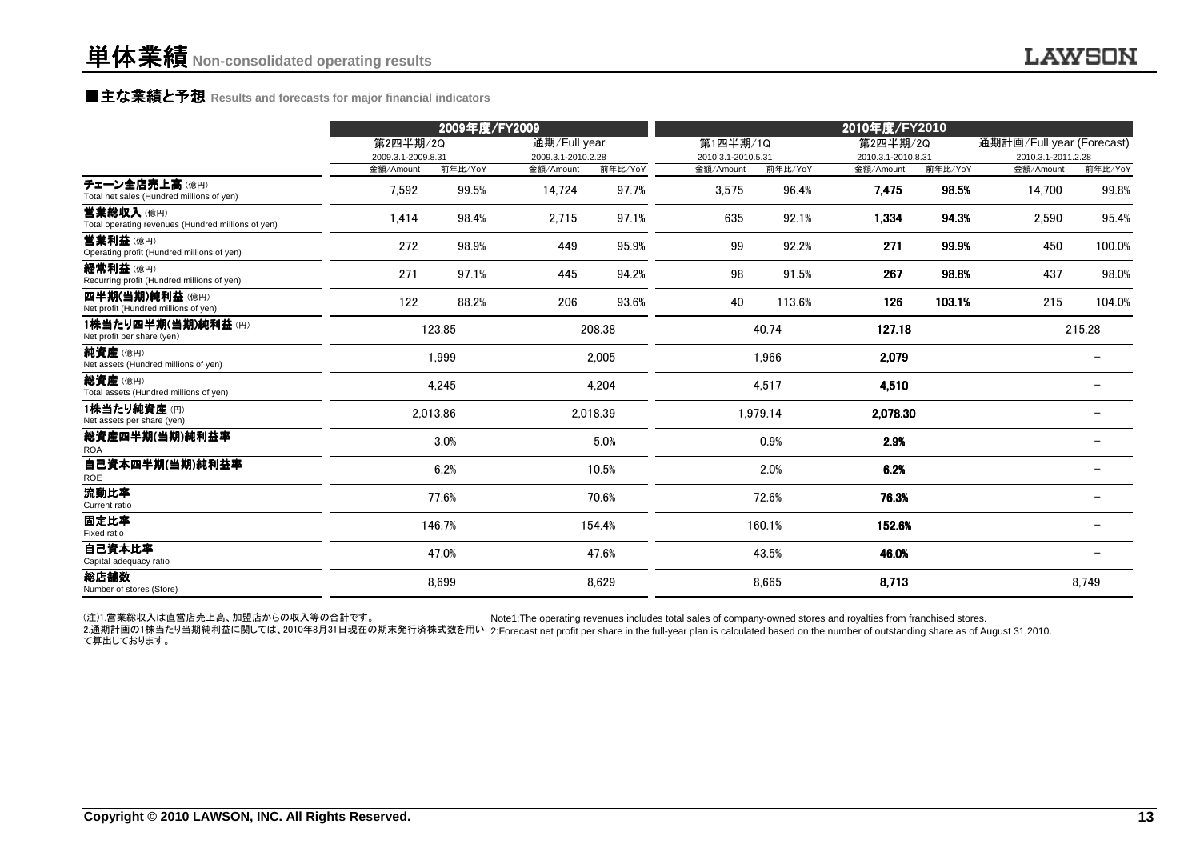### **■主な業績と予想** Results and forecasts for major financial indicators<br>
————————————————————

|                                                                 |                    | 2009年度/FY2009 |                    |          |                    |          | 2010年度/FY2010      |         |                           |         |
|-----------------------------------------------------------------|--------------------|---------------|--------------------|----------|--------------------|----------|--------------------|---------|---------------------------|---------|
|                                                                 | 第2四半期/2Q           |               | 通期/Full year       |          | 第1四半期/1Q           |          | 第2四半期/2Q           |         | 通期計画/Full year (Forecast) |         |
|                                                                 | 2009.3.1-2009.8.31 |               | 2009.3.1-2010.2.28 |          | 2010.3.1-2010.5.31 |          | 2010.3.1-2010.8.31 |         | 2010.3.1-2011.2.28        |         |
|                                                                 | 金額/Amount          | 前年比/YoY       | 金額/Amount          | 前年比/YoY  | 金額/Amount          | 前年比/YoY  | 金額/Amount          | 前年比/YoY | 金額/Amount                 | 前年比/YoY |
| チェーン全店売上高(億円)<br>Total net sales (Hundred millions of yen)      | 7,592              | 99.5%         | 14,724             | 97.7%    | 3,575              | 96.4%    | 7,475              | 98.5%   | 14,700                    | 99.8%   |
| 营業総収入(億円)<br>Total operating revenues (Hundred millions of yen) | 1,414              | 98.4%         | 2,715              | 97.1%    | 635                | 92.1%    | 1,334              | 94.3%   | 2,590                     | 95.4%   |
| 営業利益(億円)<br>Operating profit (Hundred millions of yen)          | 272                | 98.9%         | 449                | 95.9%    | 99                 | 92.2%    | 271                | 99.9%   | 450                       | 100.0%  |
| 経常利益(億円)<br>Recurring profit (Hundred millions of yen)          | 271                | 97.1%         | 445                | 94.2%    | 98                 | 91.5%    | 267                | 98.8%   | 437                       | 98.0%   |
| 四半期(当期)純利益(億円)<br>Net profit (Hundred millions of yen)          | 122                | 88.2%         | 206                | 93.6%    | 40                 | 113.6%   | 126                | 103.1%  | 215                       | 104.0%  |
| 1株当たり四半期(当期)純利益(円)<br>Net profit per share (yen)                |                    | 123.85        |                    | 208.38   |                    | 40.74    | 127.18             |         |                           | 215.28  |
| 純資産(億円)<br>Net assets (Hundred millions of yen)                 |                    | 1,999         |                    | 2,005    |                    | 1,966    | 2,079              |         |                           |         |
| 総資産(億円)<br>Total assets (Hundred millions of yen)               |                    | 4.245         |                    | 4,204    |                    | 4,517    | 4,510              |         |                           |         |
| 1株当たり純資産(円)<br>Net assets per share (yen)                       |                    | 2,013.86      |                    | 2,018.39 |                    | 1,979.14 | 2.078.30           |         |                           |         |
| 総資産四半期(当期)純利益率<br><b>ROA</b>                                    |                    | 3.0%          |                    | 5.0%     |                    | 0.9%     | 2.9%               |         |                           |         |
| 自己資本四半期(当期)純利益率<br>ROE                                          |                    | 6.2%          |                    | 10.5%    |                    | 2.0%     | 6.2%               |         |                           |         |
| 流動比率<br>Current ratio                                           |                    | 77.6%         |                    | 70.6%    |                    | 72.6%    | 76.3%              |         |                           |         |
| 固定比率<br>Fixed ratio                                             |                    | 146.7%        |                    | 154.4%   |                    | 160.1%   | 152.6%             |         |                           |         |
| 自己資本比率<br>Capital adequacy ratio                                |                    | 47.0%         |                    | 47.6%    |                    | 43.5%    | 46.0%              |         |                           |         |
| 総店舗数<br>Number of stores (Store)                                |                    | 8,699         |                    | 8,629    |                    | 8,665    | 8,713              |         |                           | 8,749   |

(注)1.営業総収入は直営店売上高、加盟店からの収入等の合計です。Note1:The operating revenues includes total sales of company-owned stores and royalties from franchised stores.

2.通期計画の1株当たり当期純利益に関しては、2010年8月31日現在の期末発行済株式数を用い 2:Forecast net profit per share in the full-year plan is calculated based on the number of outstanding share as of August 31,2010. て算出しております。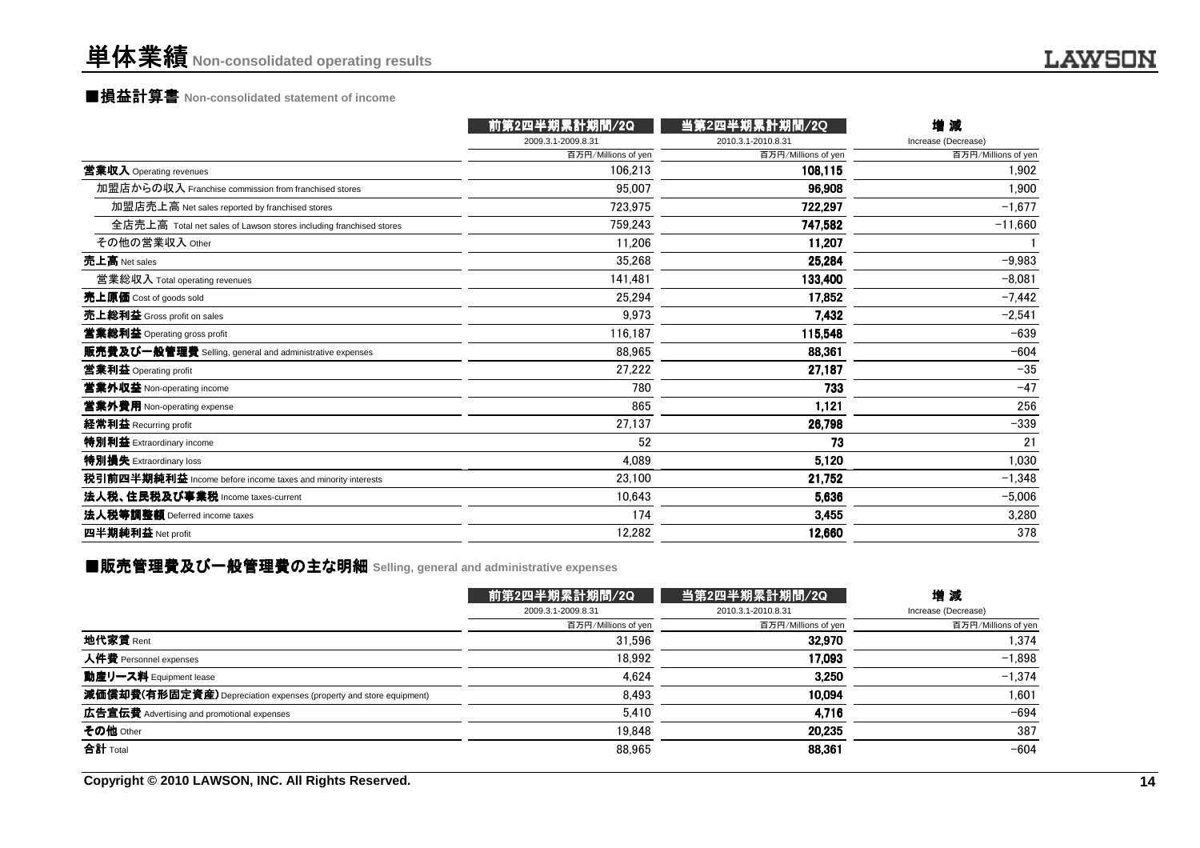## ■損益計算書 **Non-consolidated statement of income**

|                                                                    | 前第2四半期累計期間/2Q       | 当第2四半期累計期間/2Q       | 增減                  |
|--------------------------------------------------------------------|---------------------|---------------------|---------------------|
|                                                                    | 2009.3.1-2009.8.31  | 2010.3.1-2010.8.31  | Increase (Decrease) |
|                                                                    | 百万円/Millions of yen | 百万円/Millions of yen | 百万円/Millions of yen |
| 営業収入 Operating revenues                                            | 106.213             | 108,115             | 1.902               |
| 加盟店からの収入 Franchise commission from franchised stores               | 95.007              | 96,908              | 1.900               |
| 加盟店売上高 Net sales reported by franchised stores                     | 723,975             | 722,297             | $-1,677$            |
| 全店売上高 Total net sales of Lawson stores including franchised stores | 759.243             | 747,582             | $-11,660$           |
| その他の営業収入 Other                                                     | 11,206              | 11,207              |                     |
| 売上高 Net sales                                                      | 35,268              | 25,284              | $-9,983$            |
| 営業総収入 Total operating revenues                                     | 141,481             | 133,400             | $-8,081$            |
| 売上原価 Cost of goods sold                                            | 25,294              | 17,852              | $-7,442$            |
| 売上総利益 Gross profit on sales                                        | 9.973               | 7,432               | $-2,541$            |
| 営業総利益 Operating gross profit                                       | 116,187             | 115,548             | $-639$              |
| 販売費及び一般管理費 Selling, general and administrative expenses            | 88,965              | 88,361              | $-604$              |
| 営業利益 Operating profit                                              | 27,222              | 27,187              | $-35$               |
| 営業外収益 Non-operating income                                         | 780                 | 733                 | $-47$               |
| 営業外費用 Non-operating expense                                        | 865                 | 1,121               | 256                 |
| 経常利益 Recurring profit                                              | 27,137              | 26,798              | $-339$              |
| 特別利益 Extraordinary income                                          | 52                  | 73                  | 21                  |
| 特別損失 Extraordinary loss                                            | 4,089               | 5,120               | 1,030               |
| 税引前四半期純利益 Income before income taxes and minority interests        | 23.100              | 21,752              | $-1,348$            |
| 法人税、住民税及び事業税 Income taxes-current                                  | 10,643              | 5.636               | $-5,006$            |
| 法人税等調整額 Deferred income taxes                                      | 174                 | 3,455               | 3,280               |
| 四半期純利益 Net profit                                                  | 12,282              | 12,660              | 378                 |
|                                                                    |                     |                     |                     |

## ■販売管理費及び一般管理費の主な明細 Selling, general and administrative expenses<br>-

|                                                                    | 前第2四半期累計期間/2Q       | 当第2四半期累計期間/2Q       | 増減                  |
|--------------------------------------------------------------------|---------------------|---------------------|---------------------|
|                                                                    | 2009.3.1-2009.8.31  | 2010.3.1-2010.8.31  | Increase (Decrease) |
|                                                                    | 百万円/Millions of yen | 百万円/Millions of yen | 百万円/Millions of yen |
| 地代家賃 Rent                                                          | 31.596              | 32.970              | 1.374               |
| 人件費 Personnel expenses                                             | 18.992              | 17.093              | $-1,898$            |
| 動産リース料 Equipment lease                                             | 4.624               | 3.250               | $-1.374$            |
| 減価償却費(有形固定資産) Depreciation expenses (property and store equipment) | 8.493               | 10.094              | 1,601               |
| 広告宣伝費 Advertising and promotional expenses                         | 5,410               | 4,716               | $-694$              |
| その他 Other                                                          | 19.848              | 20,235              | 387                 |
| 合計 Total                                                           | 88,965              | 88,361              | $-604$              |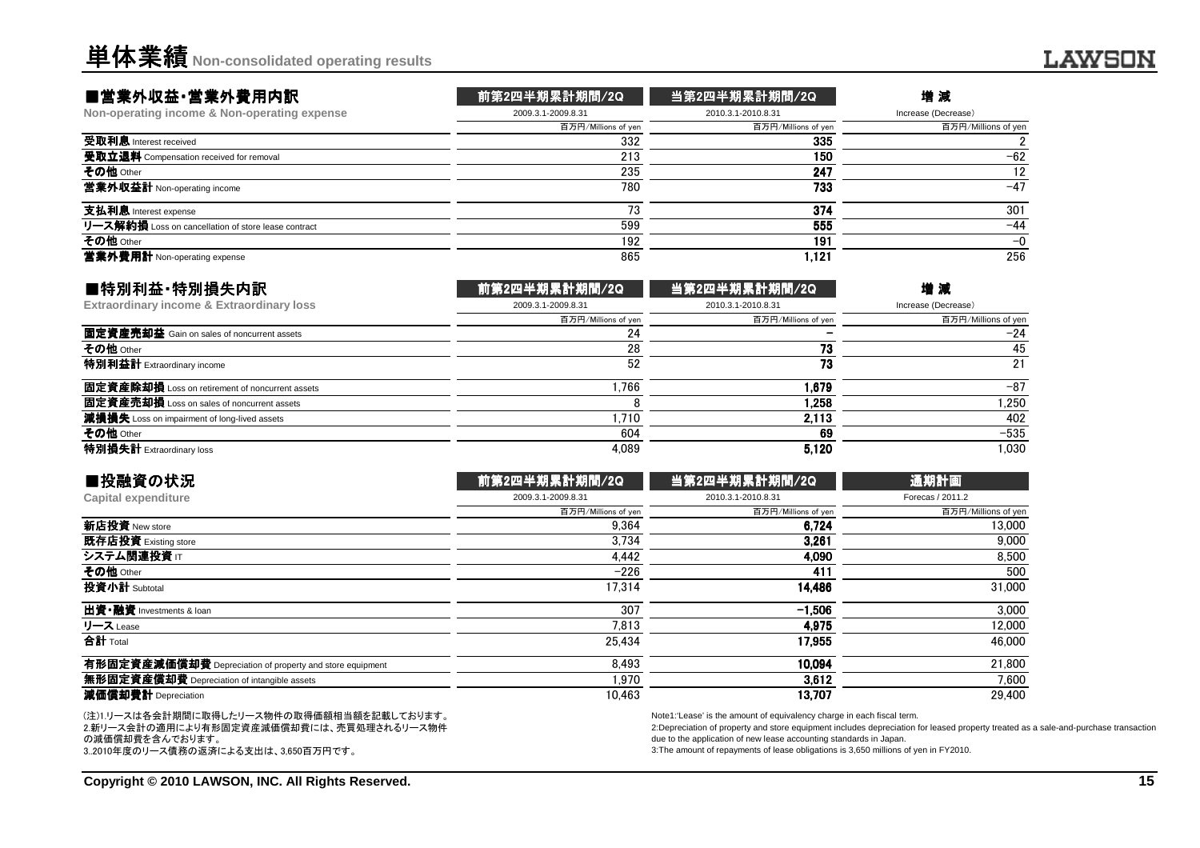#### ■営業外収益・営業外費用内訳

| ■営業外収益・営業外費用内訳                                      | 前第2四半期累計期間/2Q       | 当第2四半期累計期間/2Q       | 増減                  |
|-----------------------------------------------------|---------------------|---------------------|---------------------|
| Non-operating income & Non-operating expense        | 2009.3.1-2009.8.31  | 2010.3.1-2010.8.31  | Increase (Decrease) |
|                                                     | 百万円/Millions of yen | 百万円/Millions of yen | 百万円/Millions of yen |
| 受取利息 Interest received                              | 332                 | 335                 |                     |
| 受取立退料 Compensation received for removal             | 213                 | 150                 | $-62$               |
| その他 Other                                           | 235                 | 247                 | 12                  |
| <b>営業外収益計</b> Non-operating income                  | 780                 | 733                 | $-47$               |
| 支払利息 Interest expense                               |                     | 374                 | 301                 |
| リース解約損 Loss on cancellation of store lease contract | 599                 | 555                 | $-44$               |
| その他 Other                                           | 192                 | 191                 | $-0$                |
| 営業外費用計 Non-operating expense                        | 865                 | 1,121               | 256                 |
|                                                     |                     |                     |                     |

| ■特別利益·特別損失内訳                                    | 前第2四半期累計期間/2Q       | 当第2四半期累計期間/2Q       | 増減                  |
|-------------------------------------------------|---------------------|---------------------|---------------------|
| Extraordinary income & Extraordinary loss       | 2009.3.1-2009.8.31  | 2010.3.1-2010.8.31  | Increase (Decrease) |
|                                                 | 百万円/Millions of yen | 百万円/Millions of yen | 百万円/Millions of yen |
| 固定資産売却益 Gain on sales of noncurrent assets      | 24                  |                     | $-24$               |
| その他 Other                                       | 28                  | 73                  | 45                  |
| 特別利益計 Extraordinary income                      | 52                  | 73                  | 21                  |
| 固定資産除却損 Loss on retirement of noncurrent assets | .766                | 1.679               | $-87$               |
| 固定資産売却損 Loss on sales of noncurrent assets      |                     | 1.258               | 1.250               |
| 減損損失 Loss on impairment of long-lived assets    | .710                | 2,113               | 402                 |
| その他 Other                                       | 604                 | 69                  | $-535$              |
| 特別損失計 Extraordinary loss                        | 4.089               | 5.120               | 1.030               |

| ■投融資の状況                                                  | 前第2四半期累計期間/2Q       | 当第2四半期累計期間/2Q       | 通期計画                |
|----------------------------------------------------------|---------------------|---------------------|---------------------|
| Capital expenditure                                      | 2009.3.1-2009.8.31  | 2010.3.1-2010.8.31  | Forecas / 2011.2    |
|                                                          | 百万円/Millions of yen | 百万円/Millions of yen | 百万円/Millions of yen |
| 新店投資 New store                                           | 9.364               | 6.724               | 13,000              |
| 既存店投資 Existing store                                     | 3.734               | 3.261               | 9,000               |
| システム関連投資 IT                                              | 4.442               | 4.090               | 8,500               |
| その他 Other                                                | $-226$              | 411                 | 500                 |
| 投資小計 Subtotal                                            | 17.314              | 14.486              | 31,000              |
| 出資·融資 Investments & loan                                 | 307                 | $-1.506$            | 3.000               |
| リース Lease                                                | 7.813               | 4.975               | 12.000              |
| 合計 Total                                                 | 25,434              | 17.955              | 46.000              |
| 有形固定資産減価償却費 Depreciation of property and store equipment | 8.493               | 10.094              | 21.800              |
| 無形固定資産償却費 Depreciation of intangible assets              | 1.970               | 3.612               | 7.600               |
| 減価償却費計 Depreciation                                      | 10.463              | 13.707              | 29,400              |
|                                                          |                     |                     |                     |

(注)1.リースは各会計期間に取得したリース物件の取得価額相当額を記載しております。 2.新リース会計の適用により有形固定資産減価償却費には、売買処理されるリース物件の減価償却費を含んでおります。3..2010年度のリース債務の返済による支出は、3,650百万円です。

Note1:'Lease' is the amount of equivalency charge in each fiscal term.

 2:Depreciation of property and store equipment includes depreciation for leased property treated as a sale-and-purchase transactiondue to the application of new lease accounting standards in Japan.

3:The amount of repayments of lease obligations is 3,650 millions of yen in FY2010.

**LAWSON**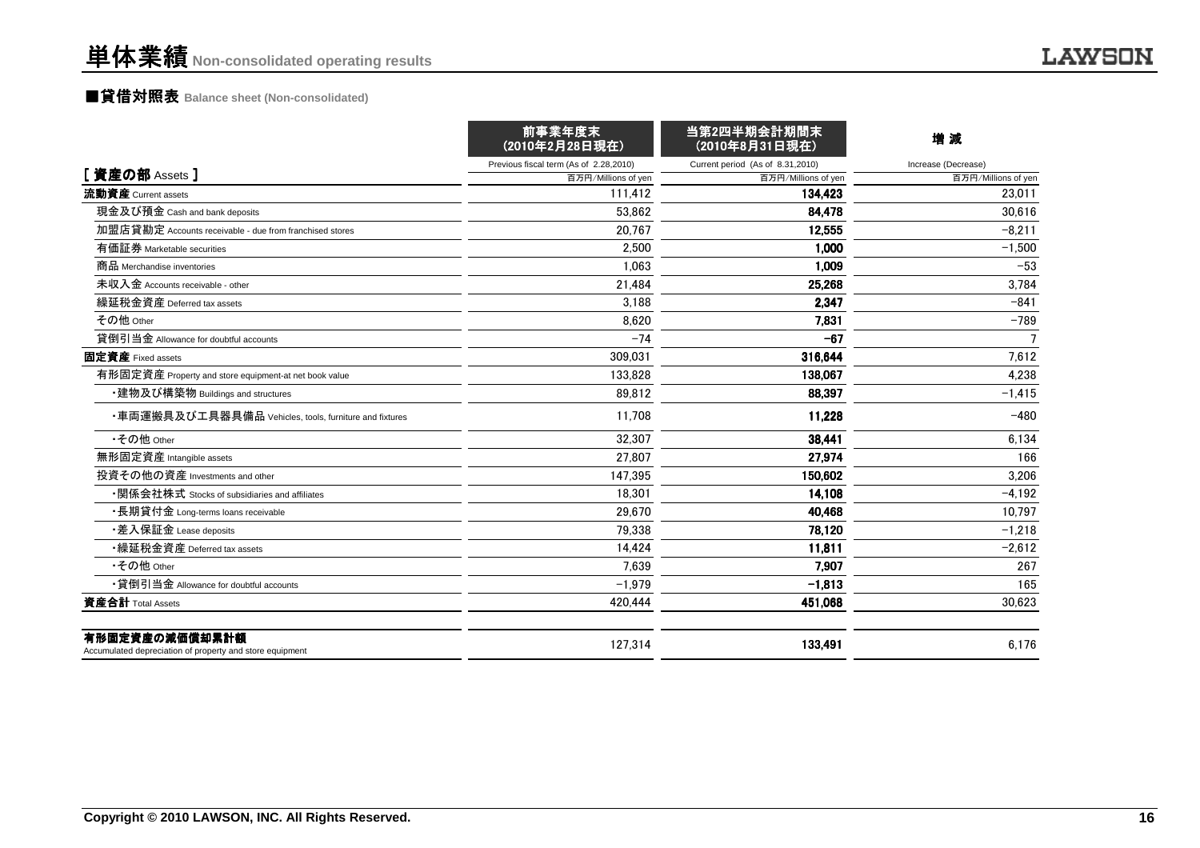# ■貸借対照表 **Balance sheet (Non-consolidated)**

|                                                                            | 前事業年度末<br>(2010年2月28日現在)               | 当第2四半期会計期間末<br>(2010年8月31日現在)    | 増減                  |
|----------------------------------------------------------------------------|----------------------------------------|----------------------------------|---------------------|
|                                                                            | Previous fiscal term (As of 2.28,2010) | Current period (As of 8.31,2010) | Increase (Decrease) |
| [資産の部 Assets]                                                              | 百万円/Millions of yen                    | 百万円/Millions of yen              | 百万円/Millions of yen |
| 流動資産 Current assets                                                        | 111,412                                | 134.423                          | 23.011              |
| 現金及び預金 Cash and bank deposits                                              | 53.862                                 | 84,478                           | 30.616              |
| 加盟店貸勘定 Accounts receivable - due from franchised stores                    | 20.767                                 | 12,555                           | $-8.211$            |
| 有価証券 Marketable securities                                                 | 2,500                                  | 1,000                            | $-1,500$            |
| 商品 Merchandise inventories                                                 | 1.063                                  | 1.009                            | $-53$               |
| 未収入金 Accounts receivable - other                                           | 21,484                                 | 25,268                           | 3,784               |
| 繰延税金資産 Deferred tax assets                                                 | 3,188                                  | 2,347                            | $-841$              |
| その他 Other                                                                  | 8,620                                  | 7,831                            | $-789$              |
| 貸倒引当金 Allowance for doubtful accounts                                      | $-74$                                  | $-67$                            | $\overline{7}$      |
| 固定資産 Fixed assets                                                          | 309.031                                | 316,644                          | 7,612               |
| 有形固定資産 Property and store equipment-at net book value                      | 133,828                                | 138,067                          | 4,238               |
| ・建物及び構築物 Buildings and structures                                          | 89.812                                 | 88,397                           | $-1,415$            |
| ・車両運搬具及び工具器具備品 Vehicles, tools, furniture and fixtures                     | 11.708                                 | 11,228                           | $-480$              |
| •その他 Other                                                                 | 32.307                                 | 38,441                           | 6,134               |
| 無形固定資産 Intangible assets                                                   | 27.807                                 | 27.974                           | 166                 |
| 投資その他の資産 Investments and other                                             | 147,395                                | 150,602                          | 3,206               |
| •関係会社株式 Stocks of subsidiaries and affiliates                              | 18.301                                 | 14,108                           | $-4.192$            |
| ・長期貸付金 Long-terms loans receivable                                         | 29.670                                 | 40,468                           | 10,797              |
| •差入保証金 Lease deposits                                                      | 79,338                                 | 78,120                           | $-1,218$            |
| •繰延税金資産 Deferred tax assets                                                | 14.424                                 | 11.811                           | $-2,612$            |
| •その他 Other                                                                 | 7.639                                  | 7,907                            | 267                 |
| •貸倒引当金 Allowance for doubtful accounts                                     | $-1,979$                               | $-1,813$                         | 165                 |
| 資産合計 Total Assets                                                          | 420,444                                | 451,068                          | 30,623              |
| 有形固定資産の減価償却累計額<br>Accumulated depreciation of property and store equipment | 127,314                                | 133,491                          | 6,176               |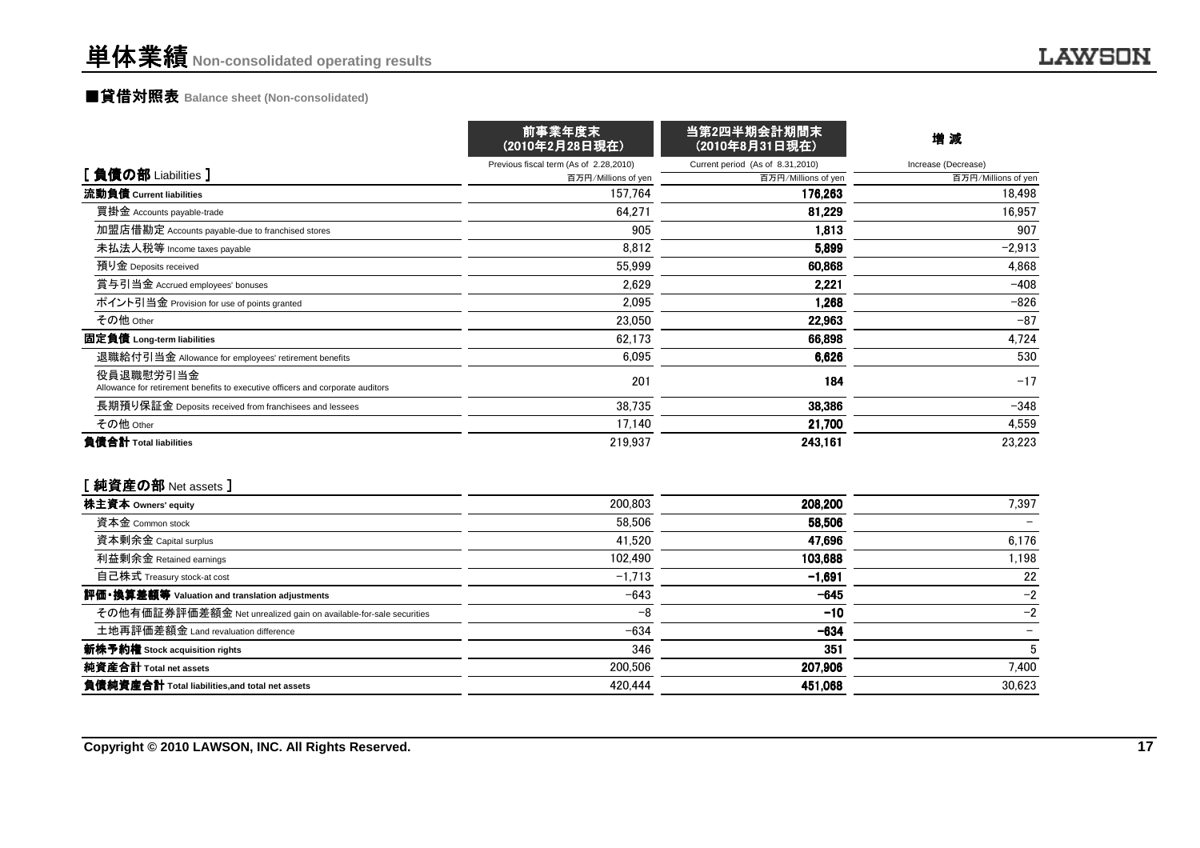# ■貸借対照表 **Balance sheet (Non-consolidated)**

|                                                                                             | 前事業年度末<br>(2010年2月28日現在)               | 当第2四半期会計期間末<br>(2010年8月31日現在)    | 増減                  |  |
|---------------------------------------------------------------------------------------------|----------------------------------------|----------------------------------|---------------------|--|
|                                                                                             | Previous fiscal term (As of 2.28,2010) | Current period (As of 8.31,2010) | Increase (Decrease) |  |
| [負債の部 Liabilities]                                                                          | 百万円/Millions of yen                    | 百万円/Millions of yen              | 百万円/Millions of yen |  |
| 流動負債 Current liabilities                                                                    | 157.764                                | 176.263                          | 18,498              |  |
| 買掛金 Accounts payable-trade                                                                  | 64.271                                 | 81,229                           | 16.957              |  |
| 加盟店借勘定 Accounts payable-due to franchised stores                                            | 905                                    | 1,813                            | 907                 |  |
| 未払法人税等 Income taxes payable                                                                 | 8,812                                  | 5.899                            | $-2,913$            |  |
| 預り金 Deposits received                                                                       | 55,999                                 | 60.868                           | 4,868               |  |
| 賞与引当金 Accrued employees' bonuses                                                            | 2,629                                  | 2,221                            | $-408$              |  |
| ポイント引当金 Provision for use of points granted                                                 | 2.095                                  | 1.268                            | $-826$              |  |
| その他 Other                                                                                   | 23.050                                 | 22,963                           | $-87$               |  |
| 固定負債 Long-term liabilities                                                                  | 62.173                                 | 66,898                           | 4,724               |  |
| 退職給付引当金 Allowance for employees' retirement benefits                                        | 6,095                                  | 6,626                            | 530                 |  |
| 役員退職慰労引当金<br>Allowance for retirement benefits to executive officers and corporate auditors | 201                                    | 184                              | $-17$               |  |
| 長期預り保証金 Deposits received from franchisees and lessees                                      | 38,735                                 | 38,386                           | $-348$              |  |
| その他 Other                                                                                   | 17,140                                 | 21,700                           | 4,559               |  |
| 負債合計 Total liabilities                                                                      | 219,937                                | 243,161                          | 23,223              |  |
| [純資産の部 Net assets]                                                                          |                                        |                                  |                     |  |
| 株主資本 Owners' equity                                                                         | 200.803                                | 208,200                          | 7,397               |  |
| 資本金 Common stock                                                                            | 58,506                                 | 58,506                           |                     |  |
| 資本剰余金 Capital surplus                                                                       | 41.520                                 | 47,696                           | 6,176               |  |
| 利益剰余金 Retained earnings                                                                     | 102,490                                | 103,688                          | 1,198               |  |
| 自己株式 Treasury stock-at cost                                                                 | $-1,713$                               | $-1,691$                         | 22                  |  |
| 評価・換算差額等 Valuation and translation adjustments                                              | $-643$                                 | $-645$                           | $-2$                |  |
| その他有価証券評価差額金 Net unrealized gain on available-for-sale securities                           | $-8$                                   | $-10$                            | $-2$                |  |
| 土地再評価差額金 Land revaluation difference                                                        | $-634$                                 | $-634$                           |                     |  |
| 新株予約権 Stock acquisition rights                                                              | 346                                    | 351                              | $5\phantom{.0}$     |  |
| 純資産合計 Total net assets                                                                      | 200.506                                | 207,906                          | 7,400               |  |
| 負債純資産合計 Total liabilities, and total net assets                                             | 420.444                                | 451,068                          | 30,623              |  |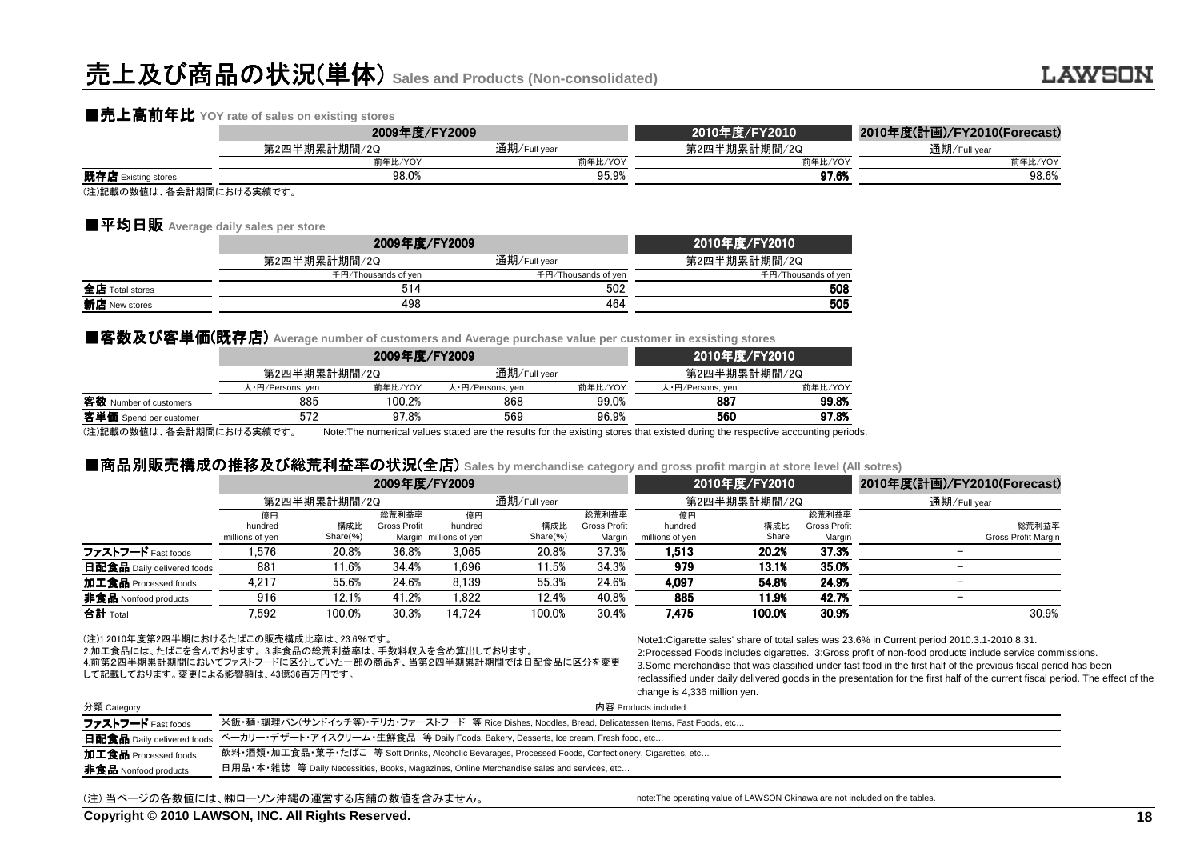# 売上及び商品の状況(単体) **Sales and Products (Non-consolidated)**

### ■売上高前年比 YOY rate of sales on existing stores<br>2009

|                         | 2009年度/FY2009 |              | 2010年度/FY2010 | 2010年度(計画)/FY2010(Forecast) |  |
|-------------------------|---------------|--------------|---------------|-----------------------------|--|
|                         | 第2四半期累計期間/2Q  | 通期/Full year | 第2四半期累計期間/2Q  | 通期/Full year                |  |
|                         | 前年比/YOY       | 前年比/YOY      | 前年比/YOY       | 前年比/YOY                     |  |
| 既存店 Existing stores     | 98.0%         | 95.9%        | 97.6%         | 98.6%                       |  |
| (注)記載の数値け 久全計期間における実績です |               |              |               |                             |  |

(注)記載の数値は、各会計期間における実績です。

### ■平均日販 Average daily sales per store<br>□

|                 | 2009年度/FY2009       | 2010年度/FY2010       |                     |
|-----------------|---------------------|---------------------|---------------------|
|                 | 第2四半期累計期間/2Q        | 通期/Full year        | 第2四半期累計期間/2Q        |
|                 | 千円/Thousands of ven | 千円/Thousands of yen | 千円/Thousands of yen |
| 全店 Total stores | 514                 | 502                 | 508                 |
| 新店 New stores   | 498                 | 464                 | 505                 |
|                 |                     |                     |                     |

#### ■客数及び客単価(既存店) Average number of customers and Average purchase value per customer in exsisting stores

|                          |                  | 2009年度/FY2009 |                  | 2010年度/FY2010 |                                                                                                                                 |         |
|--------------------------|------------------|---------------|------------------|---------------|---------------------------------------------------------------------------------------------------------------------------------|---------|
|                          | 第2四半期累計期間/2Q     |               | 通期/Full year     |               | 第2四半期累計期間/2Q                                                                                                                    |         |
|                          | 人·円/Persons, yen | 前年比/YOY       | 人·円/Persons, yen | 前年比/YOY       | 人·円/Persons, yen                                                                                                                | 前年比/YOY |
| 客数 Number of customers   | 885              | 100.2%        | 868              | 99.0%         | 887                                                                                                                             | 99.8%   |
| 客単価 Spend per customer   | 572              | 97.8%         | 569              | 96.9%         | 560                                                                                                                             | 97.8%   |
| (注)記載の数値は、各会計期間における実績です。 |                  |               |                  |               | Note: The numerical values stated are the results for the existing stores that existed during the respective accounting periods |         |

### ■商品別販売構成 ■商品別販売構成の推移及び総荒利益率の状況(全店) **Sales by merchandise category and gross profit margin at store level (All sotres)**

| 通期/Full year             |
|--------------------------|
|                          |
|                          |
| 総荒利益率                    |
| Gross Profit Margin      |
|                          |
|                          |
| $\overline{\phantom{0}}$ |
|                          |
| 30.9%                    |
|                          |

#### (注)1.2010年度第2四半期におけるたばこの販売構成比率は、23.6%です。

 2.加工食品には、たばこを含んでおります。 3.非食品の総荒利益率は、手数料収入を含め算出しております。 4.前第2四半期累計期間においてファストフードに区分していた一部の商品を、当第2四半期累計期間では日配食品に区分を変更して記載しております。変更による影響額は、43億36百万円です。

Note1:Cigarette sales' share of total sales was 23.6% in Current period 2010.3.1-2010.8.31. 2:Processed Foods includes cigarettes. 3:Gross profit of non-food products include service commissions. 3.Some merchandise that was classified under fast food in the first half of the previous fiscal period has been reclassified under daily delivered goods in the presentation for the first half of the current fiscal period. The effect of thechange is 4,336 million yen.

| 分類 Category                       | 内容 Products included                                                                                  |
|-----------------------------------|-------------------------------------------------------------------------------------------------------|
| ファストフード Fast foods                | 米飯・麺・調理パン(サンドイッチ等)・デリカ・ファーストフード 等 Rice Dishes, Noodles, Bread, Delicatessen Items, Fast Foods, etc    |
| <b>日配食品</b> Daily delivered foods | ベーカリー・デザート・アイスクリーム・生鮮食品 等 Daily Foods, Bakery, Desserts, Ice cream, Fresh food, etc                   |
| 加工食品 Processed foods              | 飲料・酒類・加工食品・菓子・たばこ 等 Soft Drinks, Alcoholic Bevarages, Processed Foods, Confectionery, Cigarettes, etc |
| <b>非食品</b> Nonfood products       | 日用品・本・雑誌 等 Daily Necessities, Books, Magazines, Online Merchandise sales and services, etc…           |

#### (注) 当ページの各数値には、㈱ローソン沖縄の運営する店舗の数値を含みません。

note:The operating value of LAWSON Okinawa are not included on the tables.

**Copyright © 2010 LAWSON, INC. All Rights Reserved.**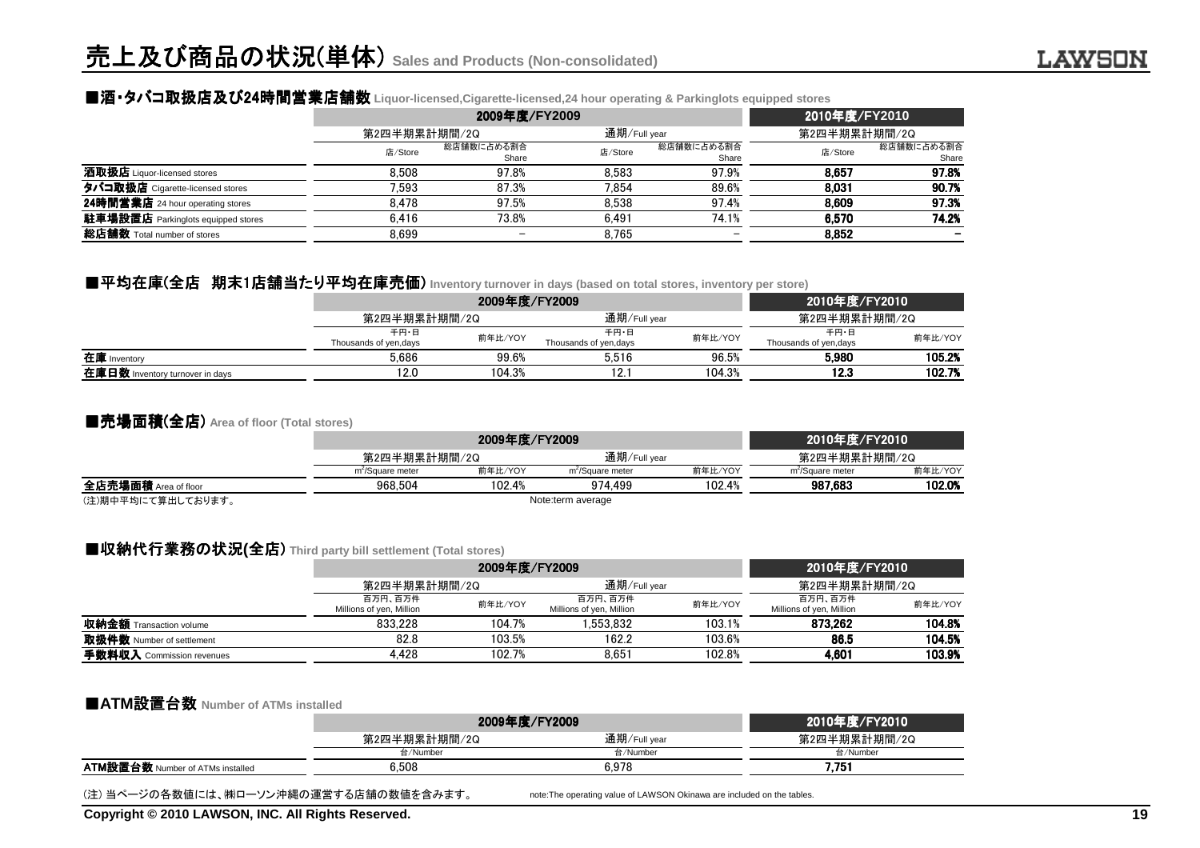### ■酒▪タバコ取扱店及び24時間営業店舗数 Liquor-licensed,Cigarette-licensed,24 hour operating & Parkinglots equipped stores<br>2010 -

|                                           |              | 2009年度/FY2009            | 2010年度/FY2010 |                     |              |                     |
|-------------------------------------------|--------------|--------------------------|---------------|---------------------|--------------|---------------------|
|                                           | 第2四半期累計期間/2Q |                          | 通期/Full year  |                     | 第2四半期累計期間/2Q |                     |
|                                           | 店/Store      | 総店舗数に占める割合<br>Share      | 店/Store       | 総店舗数に占める割合<br>Share | 店/Store      | 総店舗数に占める割合<br>Share |
| 酒取扱店 Liquor-licensed stores               | 8.508        | 97.8%                    | 8.583         | 97.9%               | 8.657        | 97.8%               |
| タバコ取扱店 Cigarette-licensed stores          | 7.593        | 87.3%                    | 7.854         | 89.6%               | 8.031        | 90.7%               |
| 24時間営業店 24 hour operating stores          | 8.478        | 97.5%                    | 8.538         | 97.4%               | 8.609        | 97.3%               |
| <b>駐車場設置店</b> Parkinglots equipped stores | 6.416        | 73.8%                    | 6.491         | 74.1%               | 6.570        | 74.2%               |
| 総店舗数 Total number of stores               | 8.699        | $\overline{\phantom{m}}$ | 8.765         |                     | 8,852        |                     |

### ■平均在庫(全店 期末1店舗当たり平均在庫売価 たり平均在庫売価) **Inventory turnover in days (based on total stores, inventory per store)**

|                                 |                                | 2009年度/FY2009 | 2010年度/FY2010                 |         |                                |         |
|---------------------------------|--------------------------------|---------------|-------------------------------|---------|--------------------------------|---------|
|                                 | 第2四半期累計期間/2Q                   |               | 通期/Full year                  |         | 第2四半期累計期間/2Q                   |         |
|                                 | 千円・日<br>Thousands of yen, days | 前年比/YOY       | 千円・日<br>Thousands of yen,days | 前年比/YOY | 千円・日<br>Thousands of yen, days | 前年比/YOY |
| 在庫 Inventory                    | 5.686                          | 99.6%         | 5.516                         | 96.5%   | 5.980                          | 105.2%  |
| 在庫日数 Inventory turnover in days | 12.0                           | 104.3%        | 12.1                          | 104.3%  | 12.3                           | 102.7%  |

#### ■売場面積(全店) **Area of floor (Total stores)**

|                      |                              | 2009年度/FY2009     |                              |              |                              | 2010年度/FY2010 |
|----------------------|------------------------------|-------------------|------------------------------|--------------|------------------------------|---------------|
|                      |                              | 第2四半期累計期間/2Q      |                              | 通期/Full year | 第2四半期累計期間/2Q                 |               |
|                      | m <sup>2</sup> /Square meter | 前年比/YOY           | m <sup>2</sup> /Square meter | 前年比/YOY      | m <sup>2</sup> /Square meter | 前年比/YOY       |
| 全店売場面積 Area of floor | 968.504                      | 102.4%            | 974.499                      | 102.4%       | 987.683                      | 102.0%        |
| (注)期由亚杓にて質虫」 ております   |                              | Note:term average |                              |              |                              |               |

(注)期中平均にて算出しております。

#### Note:term average

### ■収納代行業務の状況(全店) Third party bill settlement (Total stores)<br>**2009**

|                                |                                     | 2009年度/FY2009 |                                     |              |                                     | 2010年度/FY2010 |  |
|--------------------------------|-------------------------------------|---------------|-------------------------------------|--------------|-------------------------------------|---------------|--|
|                                |                                     | 第2四半期累計期間/2Q  |                                     | 通期/Full year |                                     | 第2四半期累計期間/2Q  |  |
|                                | 百万円、百万件<br>Millions of yen, Million | 前年比/YOY       | 百万円、百万件<br>Millions of yen, Million | 前年比/YOY      | 百万円、百万件<br>Millions of yen, Million | 前年比/YOY       |  |
| <b>収納金額</b> Transaction volume | 833.228                             | 104.7%        | 1.553.832                           | 103.1%       | 873.262                             | 104.8%        |  |
| 取扱件数 Number of settlement      | 82.8                                | 103.5%        | 162.2                               | 103.6%       | 86.5                                | 104.5%        |  |
| 手数料収入 Commission revenues      | 4.428                               | 102.7%        | 8.651                               | 102.8%       | 4,601                               | 103.9%        |  |

#### ■**ATM**設置台数 **Number of ATMs installed**

|                                         | 2009年度/FY2009 | 2010年度/FY2010 |              |
|-----------------------------------------|---------------|---------------|--------------|
|                                         | 第2四半期累計期間/2Q  | 通期/Full year  | 第2四半期累計期間/2Q |
|                                         | 台/Number      | 台/Number      | 台/Number     |
| <b>ATM設置台数 Number of ATMs installed</b> | 6.508         | 6.978         | 7.75         |
|                                         |               |               |              |

(注) 当ページの各数値には、㈱ローソン沖縄の運営する店舗の数値を含みます。

note:The operating value of LAWSON Okinawa are included on the tables.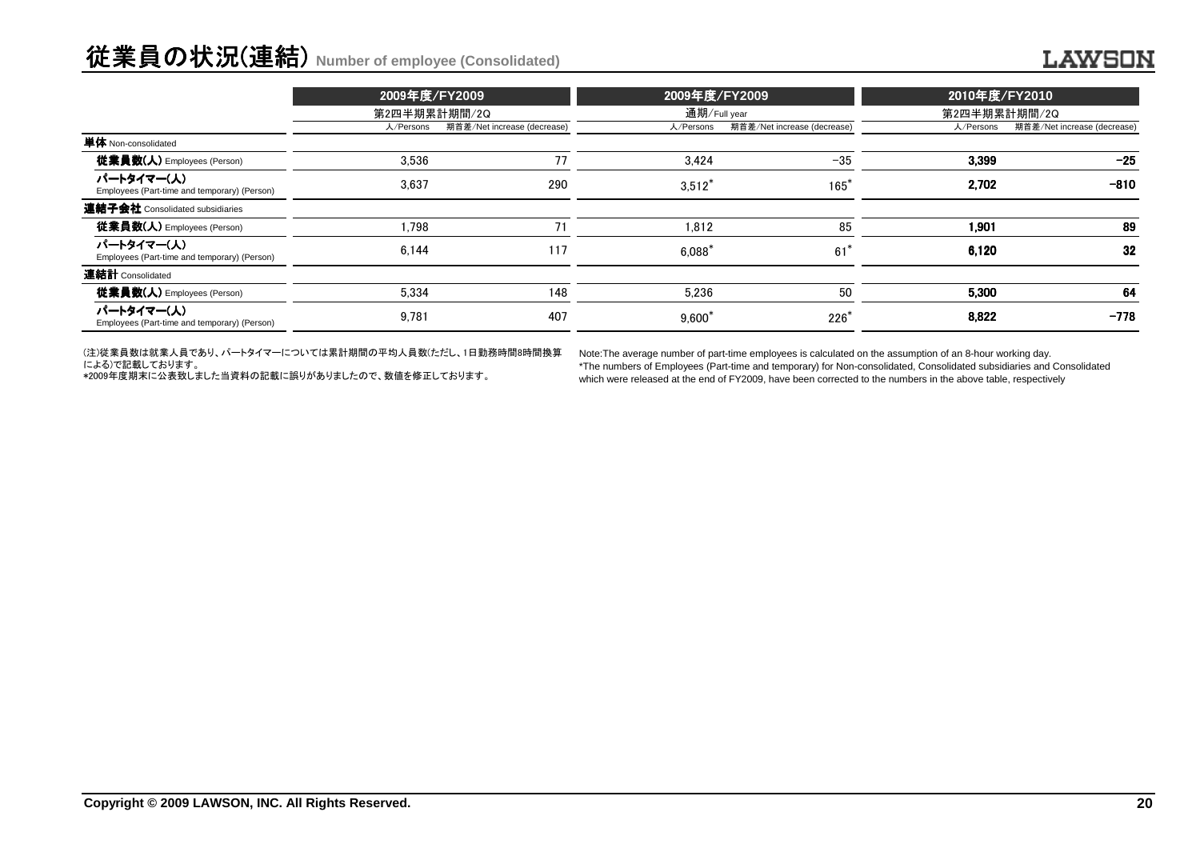# 従業員の状況(連結) **Number of employee (Consolidated)**

|                                                            | 2009年度/FY2009<br>第2四半期累計期間/2Q |                             |           | 2009年度/FY2009<br>通期/Full year |           | 2010年度/FY2010               |
|------------------------------------------------------------|-------------------------------|-----------------------------|-----------|-------------------------------|-----------|-----------------------------|
|                                                            |                               |                             |           |                               |           | 第2四半期累計期間/2Q                |
|                                                            | 人/Persons                     | 期首差/Net increase (decrease) | 人/Persons | 期首差/Net increase (decrease)   | 人/Persons | 期首差/Net increase (decrease) |
| <b>単体</b> Non-consolidated                                 |                               |                             |           |                               |           |                             |
| <b>従業員数(人)</b> Employees (Person)                          | 3.536                         | 77                          | 3.424     | $-35$                         | 3,399     | $-25$                       |
| パートタイマー(人)<br>Employees (Part-time and temporary) (Person) | 3.637                         | 290                         | $3,512^*$ | $165*$                        | 2,702     | $-810$                      |
| 連結子会社 Consolidated subsidiaries                            |                               |                             |           |                               |           |                             |
| 従業員数(人) Employees (Person)                                 | .798                          | 71                          | 1.812     | 85                            | 1.901     | 89                          |
| パートタイマー(人)<br>Employees (Part-time and temporary) (Person) | 6.144                         | 117                         | 6.088     | $61*$                         | 6,120     | 32                          |
| 連結計 Consolidated                                           |                               |                             |           |                               |           |                             |
| <b>従業員数(人)</b> Employees (Person)                          | 5,334                         | 148                         | 5.236     | 50                            | 5.300     | 64                          |
| パートタイマー(人)<br>Employees (Part-time and temporary) (Person) | 9,781                         | 407                         | $9,600^*$ | $226*$                        | 8.822     | $-778$                      |

(注)従業員数は就業人員であり、パートタイマーについては累計期間の平均人員数(ただし、1日勤務時間8時間換算

による)で記載しております。 \*2009年度期末に公表致しました当資料の記載に誤りがありましたので、数値を修正しております。

Note:The average number of part-time employees is calculated on the assumption of an 8-hour working day.

 \*The numbers of Employees (Part-time and temporary) for Non-consolidated, Consolidated subsidiaries and Consolidatedwhich were released at the end of FY2009, have been corrected to the numbers in the above table, respectively